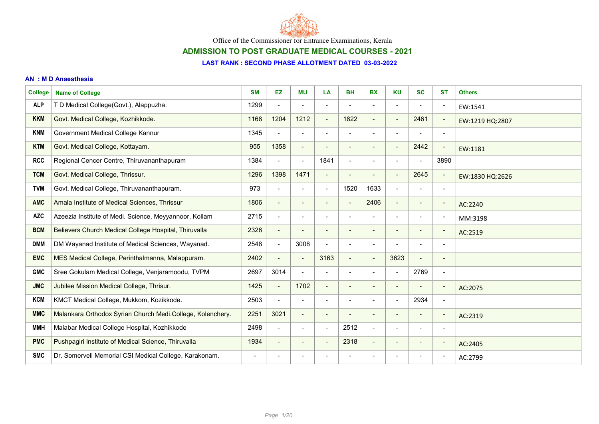

ADMISSION TO POST GRADUATE MEDICAL COURSES - 2021

#### LAST RANK : SECOND PHASE ALLOTMENT DATED 03-03-2022

#### AN : M D Anaesthesia

| <b>College</b> | <b>Name of College</b>                                     | <b>SM</b>      | <b>EZ</b>                | МU                           | LA                           | <b>BH</b>                    | <b>BX</b>                | <b>KU</b>                    | <b>SC</b>                | <b>ST</b>                | <b>Others</b>   |
|----------------|------------------------------------------------------------|----------------|--------------------------|------------------------------|------------------------------|------------------------------|--------------------------|------------------------------|--------------------------|--------------------------|-----------------|
| <b>ALP</b>     | T D Medical College(Govt.), Alappuzha.                     | 1299           | $\blacksquare$           | $\overline{\phantom{a}}$     | $\overline{\phantom{0}}$     |                              | $\blacksquare$           | $\overline{\phantom{a}}$     |                          | $\overline{\phantom{a}}$ | EW:1541         |
| <b>KKM</b>     | Govt. Medical College, Kozhikkode.                         | 1168           | 1204                     | 1212                         | $\overline{\phantom{a}}$     | 1822                         |                          | $\overline{\phantom{a}}$     | 2461                     | $\overline{\phantom{a}}$ | EW:1219 HQ:2807 |
| <b>KNM</b>     | Government Medical College Kannur                          | 1345           | $\blacksquare$           | $\blacksquare$               | $\overline{\phantom{a}}$     | $\qquad \qquad \blacksquare$ | $\blacksquare$           | $\overline{\phantom{a}}$     | $\overline{\phantom{0}}$ | $\overline{\phantom{a}}$ |                 |
| <b>KTM</b>     | Govt. Medical College, Kottayam.                           | 955            | 1358                     | $\qquad \qquad \blacksquare$ | $\qquad \qquad \blacksquare$ | $\overline{\phantom{a}}$     |                          | $\overline{\phantom{a}}$     | 2442                     | $\overline{\phantom{a}}$ | EW:1181         |
| <b>RCC</b>     | Regional Cencer Centre, Thiruvananthapuram                 | 1384           | $\overline{\phantom{a}}$ | $\blacksquare$               | 1841                         | $\blacksquare$               |                          | $\overline{a}$               |                          | 3890                     |                 |
| <b>TCM</b>     | Govt. Medical College, Thrissur.                           | 1296           | 1398                     | 1471                         |                              |                              |                          | $\overline{\phantom{a}}$     | 2645                     | $\overline{\phantom{a}}$ | EW:1830 HQ:2626 |
| <b>TVM</b>     | Govt. Medical College, Thiruvananthapuram.                 | 973            | $\blacksquare$           | $\blacksquare$               | $\blacksquare$               | 1520                         | 1633                     | $\blacksquare$               | $\overline{\phantom{0}}$ | $\overline{\phantom{a}}$ |                 |
| <b>AMC</b>     | Amala Institute of Medical Sciences, Thrissur              | 1806           | $\overline{\phantom{a}}$ | $\qquad \qquad$              | $\qquad \qquad$              |                              | 2406                     | $\blacksquare$               | $\overline{\phantom{0}}$ | $\overline{\phantom{a}}$ | AC:2240         |
| <b>AZC</b>     | Azeezia Institute of Medi. Science, Meyyannoor, Kollam     | 2715           | $\overline{\phantom{a}}$ | $\overline{\phantom{a}}$     |                              |                              |                          | $\qquad \qquad \blacksquare$ |                          | $\overline{\phantom{a}}$ | MM:3198         |
| <b>BCM</b>     | Believers Church Medical College Hospital, Thiruvalla      | 2326           | $\overline{\phantom{a}}$ | $\overline{\phantom{a}}$     | $\qquad \qquad$              |                              |                          | $\qquad \qquad$              |                          | $\overline{\phantom{a}}$ | AC:2519         |
| <b>DMM</b>     | DM Wayanad Institute of Medical Sciences, Wayanad.         | 2548           | $\blacksquare$           | 3008                         | $\overline{\phantom{a}}$     | $\blacksquare$               | $\overline{\phantom{a}}$ | $\overline{\phantom{0}}$     | $\blacksquare$           | $\overline{\phantom{a}}$ |                 |
| <b>EMC</b>     | MES Medical College, Perinthalmanna, Malappuram.           | 2402           | $\overline{\phantom{a}}$ | $\blacksquare$               | 3163                         | $\blacksquare$               | $\overline{\phantom{a}}$ | 3623                         | $\overline{\phantom{a}}$ | $\overline{\phantom{a}}$ |                 |
| <b>GMC</b>     | Sree Gokulam Medical College, Venjaramoodu, TVPM           | 2697           | 3014                     | $\blacksquare$               |                              | $\blacksquare$               |                          | $\blacksquare$               | 2769                     | $\overline{\phantom{a}}$ |                 |
| <b>JMC</b>     | Jubilee Mission Medical College, Thrisur.                  | 1425           | $\blacksquare$           | 1702                         | $\overline{\phantom{a}}$     | $\overline{\phantom{a}}$     |                          | $\overline{\phantom{a}}$     |                          | $\overline{\phantom{a}}$ | AC:2075         |
| <b>KCM</b>     | KMCT Medical College, Mukkom, Kozikkode.                   | 2503           | $\blacksquare$           | $\overline{\phantom{a}}$     | $\blacksquare$               | $\qquad \qquad \blacksquare$ | $\blacksquare$           | $\overline{\phantom{a}}$     | 2934                     | $\overline{\phantom{a}}$ |                 |
| <b>MMC</b>     | Malankara Orthodox Syrian Church Medi.College, Kolenchery. | 2251           | 3021                     | $\blacksquare$               | $\overline{\phantom{a}}$     | $\overline{\phantom{a}}$     | $\blacksquare$           | $\blacksquare$               | $\overline{\phantom{a}}$ | $\overline{\phantom{a}}$ | AC:2319         |
| <b>MMH</b>     | Malabar Medical College Hospital, Kozhikkode               | 2498           | $\blacksquare$           | $\overline{\phantom{a}}$     | $\overline{\phantom{0}}$     | 2512                         | $\blacksquare$           | $\blacksquare$               |                          | $\overline{\phantom{a}}$ |                 |
| <b>PMC</b>     | Pushpagiri Institute of Medical Science, Thiruvalla        | 1934           | $\overline{\phantom{a}}$ | $\overline{\phantom{a}}$     | $\overline{\phantom{0}}$     | 2318                         | $\overline{\phantom{a}}$ | $\overline{\phantom{a}}$     | $\overline{\phantom{a}}$ | $\overline{\phantom{a}}$ | AC:2405         |
| <b>SMC</b>     | Dr. Somervell Memorial CSI Medical College, Karakonam.     | $\blacksquare$ | $\blacksquare$           | $\overline{\phantom{a}}$     |                              |                              |                          | $\overline{\phantom{a}}$     | $\blacksquare$           | $\overline{\phantom{a}}$ | AC:2799         |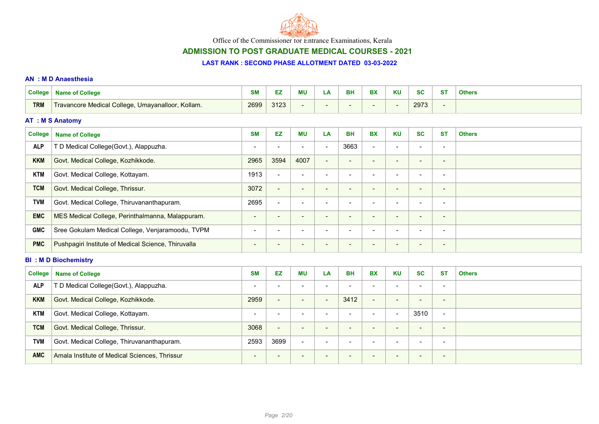

# ADMISSION TO POST GRADUATE MEDICAL COURSES - 2021

#### LAST RANK : SECOND PHASE ALLOTMENT DATED 03-03-2022

#### AN : M D Anaesthesia

| <b>College</b> | <b>Name of College</b>                              | <b>SM</b>                | EZ                       | <b>MU</b>                | LA                       | <b>BH</b>                    | <b>BX</b>                | <b>KU</b>                | <b>SC</b>                | <b>ST</b>                | <b>Others</b> |
|----------------|-----------------------------------------------------|--------------------------|--------------------------|--------------------------|--------------------------|------------------------------|--------------------------|--------------------------|--------------------------|--------------------------|---------------|
| <b>TRM</b>     | Travancore Medical College, Umayanalloor, Kollam.   | 2699                     | 3123                     | $\blacksquare$           | $\blacksquare$           | $\overline{\phantom{a}}$     | $\overline{\phantom{a}}$ | $\blacksquare$           | 2973                     | $\blacksquare$           |               |
|                | <b>AT : M S Anatomy</b>                             |                          |                          |                          |                          |                              |                          |                          |                          |                          |               |
| <b>College</b> | <b>Name of College</b>                              | <b>SM</b>                | EZ                       | <b>MU</b>                | LA                       | <b>BH</b>                    | <b>BX</b>                | <b>KU</b>                | <b>SC</b>                | <b>ST</b>                | <b>Others</b> |
| <b>ALP</b>     | T D Medical College(Govt.), Alappuzha.              |                          | $\blacksquare$           |                          | $\overline{\phantom{0}}$ | 3663                         | $\blacksquare$           | $\overline{\phantom{a}}$ |                          | $\overline{\phantom{a}}$ |               |
| <b>KKM</b>     | Govt. Medical College, Kozhikkode.                  | 2965                     | 3594                     | 4007                     | $\overline{\phantom{a}}$ | -                            |                          | $\overline{\phantom{a}}$ |                          | $\overline{\phantom{a}}$ |               |
| <b>KTM</b>     | Govt. Medical College, Kottayam.                    | 1913                     | $\blacksquare$           | $\overline{\phantom{a}}$ |                          | $\overline{\phantom{0}}$     | $\overline{\phantom{a}}$ | $\blacksquare$           | $\overline{\phantom{a}}$ | $\overline{\phantom{a}}$ |               |
| <b>TCM</b>     | Govt. Medical College, Thrissur.                    | 3072                     | $\blacksquare$           | $\overline{\phantom{a}}$ | $\overline{\phantom{0}}$ | $\qquad \qquad \blacksquare$ | $\qquad \qquad$          | $\overline{\phantom{a}}$ | $\overline{\phantom{a}}$ | $\overline{\phantom{a}}$ |               |
| <b>TVM</b>     | Govt. Medical College, Thiruvananthapuram.          | 2695                     | $\blacksquare$           | $\overline{\phantom{a}}$ | $\overline{\phantom{0}}$ | $\blacksquare$               |                          | $\overline{\phantom{a}}$ | $\overline{\phantom{a}}$ | $\overline{\phantom{a}}$ |               |
| <b>EMC</b>     | MES Medical College, Perinthalmanna, Malappuram.    | $\blacksquare$           | $\overline{\phantom{a}}$ | $\blacksquare$           | $\overline{\phantom{a}}$ | $\blacksquare$               | $\overline{\phantom{a}}$ | $\blacksquare$           | $\blacksquare$           | $\overline{\phantom{a}}$ |               |
| <b>GMC</b>     | Sree Gokulam Medical College, Venjaramoodu, TVPM    | $\blacksquare$           | $\overline{\phantom{a}}$ | $\blacksquare$           | $\overline{\phantom{0}}$ | $\overline{\phantom{0}}$     | $\overline{\phantom{a}}$ | $\overline{\phantom{a}}$ | $\overline{\phantom{a}}$ | $\overline{\phantom{a}}$ |               |
| <b>PMC</b>     | Pushpagiri Institute of Medical Science, Thiruvalla | $\blacksquare$           | $\qquad \qquad$          | $\overline{\phantom{a}}$ | $\overline{\phantom{a}}$ | $\qquad \qquad \blacksquare$ |                          | $\overline{\phantom{a}}$ | $\blacksquare$           | $\overline{\phantom{a}}$ |               |
|                | <b>BI: MD Biochemistry</b>                          |                          |                          |                          |                          |                              |                          |                          |                          |                          |               |
| <b>College</b> | <b>Name of College</b>                              | <b>SM</b>                | EZ                       | <b>MU</b>                | LA                       | <b>BH</b>                    | <b>BX</b>                | <b>KU</b>                | <b>SC</b>                | <b>ST</b>                | <b>Others</b> |
| <b>ALP</b>     | T D Medical College(Govt.), Alappuzha.              | $\overline{\phantom{a}}$ | $\blacksquare$           | $\overline{\phantom{a}}$ | $\overline{\phantom{a}}$ | $\overline{\phantom{0}}$     | $\blacksquare$           | $\blacksquare$           | $\overline{\phantom{a}}$ | $\overline{\phantom{a}}$ |               |
| <b>KKM</b>     | Govt. Medical College, Kozhikkode.                  | 2959                     | $\overline{\phantom{a}}$ | $\overline{\phantom{a}}$ | $\overline{\phantom{a}}$ | 3412                         | $\blacksquare$           | $\overline{\phantom{a}}$ | $\blacksquare$           | $\overline{\phantom{a}}$ |               |
| <b>KTM</b>     | Govt. Medical College, Kottayam.                    | $\overline{\phantom{a}}$ | $\blacksquare$           | $\overline{\phantom{a}}$ | $\overline{\phantom{a}}$ | $\blacksquare$               | $\overline{\phantom{a}}$ | $\blacksquare$           | 3510                     | $\overline{\phantom{a}}$ |               |
| <b>TCM</b>     | Govt. Medical College, Thrissur.                    | 3068                     | $\overline{\phantom{a}}$ | $\overline{\phantom{a}}$ | $\overline{\phantom{a}}$ | $\overline{\phantom{a}}$     | $\overline{\phantom{a}}$ | $\overline{\phantom{a}}$ | $\overline{\phantom{a}}$ | $\overline{\phantom{a}}$ |               |
| <b>TVM</b>     | Govt. Medical College, Thiruvananthapuram.          | 2593                     | 3699                     | $\overline{\phantom{a}}$ | $\blacksquare$           | $\blacksquare$               | $\blacksquare$           | $\overline{\phantom{a}}$ | $\overline{\phantom{a}}$ | $\overline{\phantom{a}}$ |               |

AMC Amala Institute of Medical Sciences, Thrissur - - - - - - - - -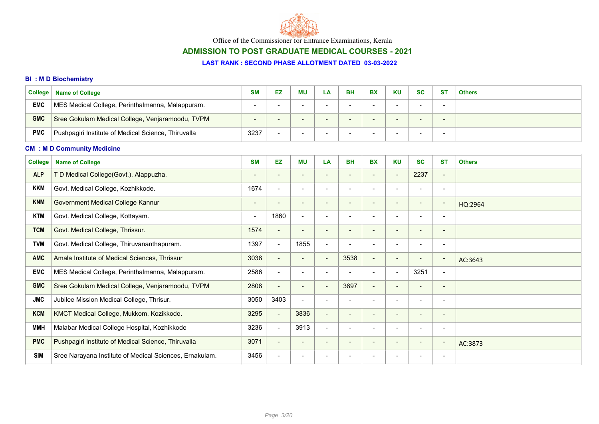

# ADMISSION TO POST GRADUATE MEDICAL COURSES - 2021

#### LAST RANK : SECOND PHASE ALLOTMENT DATED 03-03-2022

### BI : M D Biochemistry

| <b>College</b> | <b>Name of College</b>                              | <b>SM</b> | EZ | <b>MU</b> | LA. | BH | <b>BX</b> | <b>KU</b> | <b>SC</b>                | <b>ST</b>                | <b>Others</b> |
|----------------|-----------------------------------------------------|-----------|----|-----------|-----|----|-----------|-----------|--------------------------|--------------------------|---------------|
| <b>EMC</b>     | MES Medical College, Perinthalmanna, Malappuram.    |           | -  |           |     |    |           |           |                          | $\overline{\phantom{a}}$ |               |
| <b>GMC</b>     | Sree Gokulam Medical College, Venjaramoodu, TVPM    |           |    | -         |     |    |           |           | $\overline{\phantom{0}}$ | -                        |               |
| <b>PMC</b>     | Pushpagiri Institute of Medical Science, Thiruvalla | 3237      | -  |           |     |    |           |           |                          | -                        |               |

### CM : M D Community Medicine

| <b>College</b> | <b>Name of College</b>                                  | <b>SM</b>                | EZ.            | <b>MU</b>                | LA                       | <b>BH</b>                | <b>BX</b>                | <b>KU</b>                | <b>SC</b>                | <b>ST</b>                | <b>Others</b> |
|----------------|---------------------------------------------------------|--------------------------|----------------|--------------------------|--------------------------|--------------------------|--------------------------|--------------------------|--------------------------|--------------------------|---------------|
| <b>ALP</b>     | T D Medical College(Govt.), Alappuzha.                  |                          |                |                          | $\overline{\phantom{a}}$ |                          |                          | $\overline{\phantom{a}}$ | 2237                     | $\overline{\phantom{a}}$ |               |
| <b>KKM</b>     | Govt. Medical College, Kozhikkode.                      | 1674                     | $\blacksquare$ |                          | $\overline{\phantom{0}}$ |                          |                          |                          |                          | $\overline{\phantom{0}}$ |               |
| <b>KNM</b>     | Government Medical College Kannur                       | $\overline{\phantom{a}}$ |                | $\overline{\phantom{a}}$ | $\overline{\phantom{a}}$ |                          |                          | $\overline{\phantom{a}}$ | $\overline{\phantom{0}}$ | $\sim$                   | HQ:2964       |
| <b>KTM</b>     | Govt. Medical College, Kottayam.                        | $\blacksquare$           | 1860           | $\overline{\phantom{a}}$ | $\overline{\phantom{a}}$ |                          |                          | $\overline{\phantom{a}}$ |                          | $\overline{\phantom{0}}$ |               |
| <b>TCM</b>     | Govt. Medical College, Thrissur.                        | 1574                     | $\sim$         | $\overline{\phantom{a}}$ | $\overline{\phantom{a}}$ |                          | $\overline{\phantom{0}}$ | $\overline{\phantom{a}}$ | $\overline{\phantom{0}}$ | $\overline{\phantom{0}}$ |               |
| <b>TVM</b>     | Govt. Medical College, Thiruvananthapuram.              | 1397                     | $\blacksquare$ | 1855                     | $\blacksquare$           |                          |                          | $\overline{\phantom{a}}$ | ۰                        | $\overline{\phantom{a}}$ |               |
| <b>AMC</b>     | Amala Institute of Medical Sciences, Thrissur           | 3038                     | $\blacksquare$ | $\blacksquare$           | $\blacksquare$           | 3538                     | $\sim$                   | $\overline{\phantom{a}}$ | $\overline{\phantom{a}}$ | $\blacksquare$           | AC:3643       |
| <b>EMC</b>     | MES Medical College, Perinthalmanna, Malappuram.        | 2586                     | $\blacksquare$ |                          | $\overline{\phantom{0}}$ |                          |                          |                          | 3251                     | $\blacksquare$           |               |
| <b>GMC</b>     | Sree Gokulam Medical College, Venjaramoodu, TVPM        | 2808                     | $\sim$         | $\blacksquare$           | $\overline{\phantom{a}}$ | 3897                     | $\overline{\phantom{a}}$ |                          | $\overline{\phantom{0}}$ | $\overline{\phantom{a}}$ |               |
| <b>JMC</b>     | Jubilee Mission Medical College, Thrisur.               | 3050                     | 3403           | $\overline{\phantom{a}}$ | $\blacksquare$           |                          |                          |                          | $\overline{\phantom{0}}$ | $\overline{\phantom{a}}$ |               |
| <b>KCM</b>     | KMCT Medical College, Mukkom, Kozikkode.                | 3295                     | $\blacksquare$ | 3836                     | $\overline{\phantom{a}}$ | $\overline{\phantom{0}}$ | -                        | $\sim$                   | $\overline{\phantom{0}}$ | $\overline{\phantom{a}}$ |               |
| <b>MMH</b>     | Malabar Medical College Hospital, Kozhikkode            | 3236                     | $\blacksquare$ | 3913                     | $\overline{\phantom{a}}$ | $\overline{\phantom{0}}$ |                          | $\overline{\phantom{a}}$ | $\overline{\phantom{0}}$ | $\overline{\phantom{a}}$ |               |
| <b>PMC</b>     | Pushpagiri Institute of Medical Science, Thiruvalla     | 3071                     | $\blacksquare$ | $\overline{\phantom{a}}$ | $\overline{\phantom{a}}$ | $\overline{\phantom{a}}$ | $\overline{\phantom{0}}$ | $\overline{\phantom{a}}$ | $\overline{\phantom{a}}$ | $\sim$                   | AC:3873       |
| <b>SIM</b>     | Sree Narayana Institute of Medical Sciences, Ernakulam. | 3456                     |                |                          | $\overline{\phantom{a}}$ |                          |                          |                          |                          |                          |               |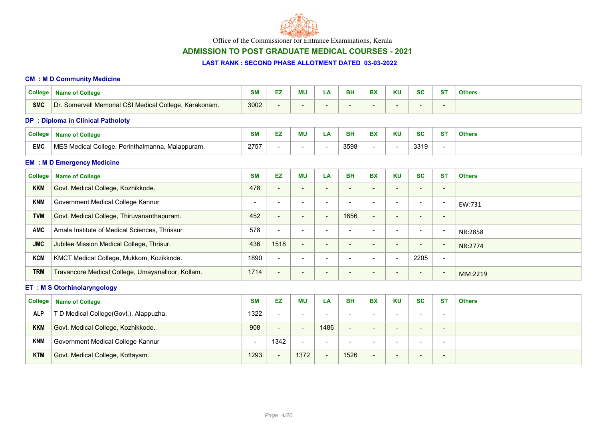

# ADMISSION TO POST GRADUATE MEDICAL COURSES - 2021

#### LAST RANK : SECOND PHASE ALLOTMENT DATED 03-03-2022

#### CM : M D Community Medicine

| <b>Name of College</b>                                                                                                                                           | <b>SM</b> | EZ                       | ΜU                       | LA  | BH   | <b>BX</b>                | <b>KU</b>                | <b>SC</b>                | -ST             | <b>Others</b> |  |  |  |
|------------------------------------------------------------------------------------------------------------------------------------------------------------------|-----------|--------------------------|--------------------------|-----|------|--------------------------|--------------------------|--------------------------|-----------------|---------------|--|--|--|
| Dr. Somervell Memorial CSI Medical College, Karakonam.                                                                                                           | 3002      | $\overline{\phantom{a}}$ | $\qquad \qquad$          | . . | -    |                          | $\overline{\phantom{0}}$ | $\overline{\phantom{0}}$ | $\qquad \qquad$ |               |  |  |  |
| <b>DP</b> : Diploma in Clinical Patholoty                                                                                                                        |           |                          |                          |     |      |                          |                          |                          |                 |               |  |  |  |
| <b>EZ</b><br><b>KU</b><br><b>MU</b><br><b>SC</b><br><b>BX</b><br><b>ST</b><br><b>SM</b><br><b>BH</b><br>College<br><b>Others</b><br><b>Name of College</b><br>LA |           |                          |                          |     |      |                          |                          |                          |                 |               |  |  |  |
| MES Medical College, Perinthalmanna, Malappuram.                                                                                                                 | 2757      | $\overline{\phantom{a}}$ | $\overline{\phantom{0}}$ |     | 3598 | $\overline{\phantom{a}}$ | -                        | 3319                     | $\,$            |               |  |  |  |
|                                                                                                                                                                  |           |                          |                          |     |      |                          |                          |                          |                 |               |  |  |  |

### EM : M D Emergency Medicine

| College    | <b>Name of College</b>                            | <b>SM</b> | EZ                       | ΜU                       | LA                       | <b>BH</b>                | <b>BX</b>                | <b>KU</b>                | <b>SC</b>                | <b>ST</b>                | <b>Others</b> |
|------------|---------------------------------------------------|-----------|--------------------------|--------------------------|--------------------------|--------------------------|--------------------------|--------------------------|--------------------------|--------------------------|---------------|
| <b>KKM</b> | Govt. Medical College, Kozhikkode.                | 478       | $\overline{\phantom{a}}$ | $\overline{\phantom{0}}$ | $\overline{\phantom{a}}$ |                          |                          | -                        | $\overline{\phantom{0}}$ | $\overline{\phantom{0}}$ |               |
| <b>KNM</b> | Government Medical College Kannur                 |           | -                        | -                        | $\overline{\phantom{a}}$ |                          |                          | $\overline{\phantom{0}}$ | $\overline{\phantom{0}}$ | $\overline{\phantom{0}}$ | EW:731        |
| <b>TVM</b> | Govt. Medical College, Thiruvananthapuram.        | 452       | $\overline{\phantom{a}}$ | $\overline{\phantom{0}}$ | $\overline{\phantom{a}}$ | 1656                     | $\overline{\phantom{0}}$ | $\overline{\phantom{0}}$ | $\overline{\phantom{0}}$ | $\overline{\phantom{a}}$ |               |
| AMC        | Amala Institute of Medical Sciences, Thrissur     | 578       | $\overline{\phantom{a}}$ | $\overline{\phantom{0}}$ | -                        | $\overline{\phantom{0}}$ |                          | -                        | $\overline{\phantom{0}}$ | $\overline{\phantom{0}}$ | NR:2858       |
| <b>JMC</b> | Jubilee Mission Medical College, Thrisur.         | 436       | 1518                     | $\overline{\phantom{a}}$ | . .                      |                          | -                        | $\overline{\phantom{0}}$ | $\sim$                   | $\overline{\phantom{0}}$ | NR:2774       |
| <b>KCM</b> | KMCT Medical College, Mukkom, Kozikkode.          | 1890      | $\overline{\phantom{a}}$ | $\overline{\phantom{0}}$ | -                        |                          |                          | -                        | 2205                     | $\overline{\phantom{a}}$ |               |
| <b>TRM</b> | Travancore Medical College, Umayanalloor, Kollam. | 1714      | $\overline{\phantom{a}}$ | $\overline{\phantom{a}}$ | -                        |                          |                          | $\overline{\phantom{a}}$ | $\qquad \qquad$          | $\overline{\phantom{a}}$ | MM:2219       |

# ET : M S Otorhinolaryngology

| <b>College</b> | <b>Name of College</b>                 | <b>SM</b> | EZ.                      | <b>MU</b>                | LA                       | <b>BH</b>                | <b>BX</b>                | <b>KU</b>                | <b>SC</b>                | <b>ST</b>                | <b>Others</b> |
|----------------|----------------------------------------|-----------|--------------------------|--------------------------|--------------------------|--------------------------|--------------------------|--------------------------|--------------------------|--------------------------|---------------|
| <b>ALP</b>     | T D Medical College(Govt.), Alappuzha. | 1322      | $\overline{\phantom{0}}$ | $\qquad \qquad$          | $\overline{\phantom{0}}$ | $\overline{\phantom{a}}$ | $\qquad \qquad$          | $\overline{\phantom{0}}$ | $\overline{\phantom{a}}$ | $\overline{\phantom{0}}$ |               |
| <b>KKM</b>     | Govt. Medical College, Kozhikkode.     | 908       | $\overline{\phantom{0}}$ | $\qquad \qquad$          | 1486                     |                          | $\sim$                   | $\overline{\phantom{0}}$ | -                        | $\overline{\phantom{0}}$ |               |
| <b>KNM</b>     | Government Medical College Kannur      |           | 1342                     | $\overline{\phantom{0}}$ | $\overline{\phantom{a}}$ | -                        | $\overline{\phantom{a}}$ | $\overline{\phantom{a}}$ | $\overline{\phantom{0}}$ | $\sim$                   |               |
| <b>KTM</b>     | Govt. Medical College, Kottayam.       | 1293      | $\overline{\phantom{0}}$ | 1372                     |                          | 1526                     | $\overline{\phantom{0}}$ | $\overline{\phantom{0}}$ | -                        | $\qquad \qquad$          |               |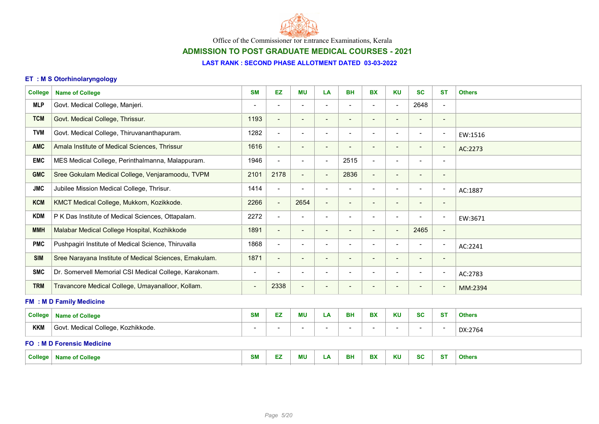

# ADMISSION TO POST GRADUATE MEDICAL COURSES - 2021

## LAST RANK : SECOND PHASE ALLOTMENT DATED 03-03-2022

### ET : M S Otorhinolaryngology

| <b>College</b> | <b>Name of College</b>                                  | <b>SM</b>                | <b>EZ</b>                | <b>MU</b>                | LA                           | <b>BH</b>                | <b>BX</b>                | <b>KU</b>                | <b>SC</b>                | <b>ST</b>                | <b>Others</b> |
|----------------|---------------------------------------------------------|--------------------------|--------------------------|--------------------------|------------------------------|--------------------------|--------------------------|--------------------------|--------------------------|--------------------------|---------------|
| <b>MLP</b>     | Govt. Medical College, Manjeri.                         | $\overline{\phantom{a}}$ | $\blacksquare$           | $\overline{\phantom{0}}$ | $\blacksquare$               |                          |                          | $\blacksquare$           | 2648                     | $\overline{a}$           |               |
| <b>TCM</b>     | Govt. Medical College, Thrissur.                        | 1193                     | $\blacksquare$           | $\blacksquare$           | $\overline{\phantom{a}}$     |                          | $\blacksquare$           | $\overline{\phantom{a}}$ | $\overline{\phantom{a}}$ | $\overline{\phantom{a}}$ |               |
| <b>TVM</b>     | Govt. Medical College, Thiruvananthapuram.              | 1282                     | $\blacksquare$           | $\blacksquare$           | $\overline{\phantom{a}}$     | $\overline{\phantom{a}}$ | $\overline{\phantom{a}}$ | $\overline{\phantom{a}}$ | $\overline{\phantom{a}}$ | $\overline{\phantom{a}}$ | EW:1516       |
| <b>AMC</b>     | Amala Institute of Medical Sciences, Thrissur           | 1616                     | $\overline{\phantom{a}}$ | $\overline{\phantom{a}}$ | $\overline{\phantom{a}}$     | $\overline{\phantom{a}}$ | $\overline{\phantom{a}}$ | $\blacksquare$           | $\overline{\phantom{a}}$ | $\overline{\phantom{a}}$ | AC:2273       |
| <b>EMC</b>     | MES Medical College, Perinthalmanna, Malappuram.        | 1946                     | $\overline{\phantom{a}}$ | $\overline{\phantom{a}}$ | $\overline{\phantom{a}}$     | 2515                     | $\overline{\phantom{a}}$ | $\overline{\phantom{a}}$ |                          | $\overline{\phantom{0}}$ |               |
| <b>GMC</b>     | Sree Gokulam Medical College, Venjaramoodu, TVPM        | 2101                     | 2178                     | $\blacksquare$           | $\overline{\phantom{a}}$     | 2836                     | $\overline{\phantom{a}}$ | $\overline{\phantom{a}}$ | $\overline{\phantom{a}}$ | $\overline{\phantom{0}}$ |               |
| <b>JMC</b>     | Jubilee Mission Medical College, Thrisur.               | 1414                     | $\blacksquare$           | $\blacksquare$           | $\overline{\phantom{a}}$     | $\overline{\phantom{a}}$ | $\blacksquare$           | $\blacksquare$           | $\overline{\phantom{a}}$ | $\overline{\phantom{a}}$ | AC:1887       |
| <b>KCM</b>     | KMCT Medical College, Mukkom, Kozikkode.                | 2266                     | $\blacksquare$           | 2654                     | $\overline{\phantom{a}}$     | $\qquad \qquad$          | $\overline{\phantom{a}}$ | $\overline{\phantom{a}}$ | $\overline{\phantom{a}}$ | $\overline{\phantom{a}}$ |               |
| <b>KDM</b>     | P K Das Institute of Medical Sciences, Ottapalam.       | 2272                     | $\blacksquare$           | $\overline{\phantom{a}}$ | $\overline{\phantom{a}}$     |                          | $\blacksquare$           | $\blacksquare$           |                          | $\overline{\phantom{a}}$ | EW:3671       |
| <b>MMH</b>     | Malabar Medical College Hospital, Kozhikkode            | 1891                     | $\blacksquare$           | $\overline{\phantom{a}}$ | $\overline{\phantom{a}}$     | $\overline{\phantom{a}}$ | $\blacksquare$           | $\overline{\phantom{a}}$ | 2465                     | $\blacksquare$           |               |
| <b>PMC</b>     | Pushpagiri Institute of Medical Science, Thiruvalla     | 1868                     | $\overline{\phantom{a}}$ | $\blacksquare$           |                              |                          |                          | $\overline{\phantom{a}}$ |                          | $\overline{\phantom{a}}$ | AC:2241       |
| <b>SIM</b>     | Sree Narayana Institute of Medical Sciences, Ernakulam. | 1871                     | $\overline{\phantom{a}}$ | $\blacksquare$           | $\overline{\phantom{a}}$     |                          | $\overline{\phantom{0}}$ | $\overline{\phantom{a}}$ | $\overline{\phantom{a}}$ | $\qquad \qquad$          |               |
| <b>SMC</b>     | Dr. Somervell Memorial CSI Medical College, Karakonam.  | $\blacksquare$           | $\blacksquare$           | $\overline{\phantom{a}}$ | $\overline{\phantom{a}}$     |                          | $\overline{\phantom{a}}$ | $\overline{\phantom{a}}$ |                          | $\overline{\phantom{a}}$ | AC:2783       |
| <b>TRM</b>     | Travancore Medical College, Umayanalloor, Kollam.       | $\overline{\phantom{a}}$ | 2338                     | $\overline{\phantom{a}}$ | $\qquad \qquad \blacksquare$ |                          |                          | $\overline{\phantom{a}}$ |                          | $\overline{\phantom{a}}$ | MM:2394       |
|                | <b>FM : M D Family Medicine</b>                         |                          |                          |                          |                              |                          |                          |                          |                          |                          |               |
| <b>College</b> | <b>Name of College</b>                                  | <b>SM</b>                | EZ                       | <b>MU</b>                | LA                           | <b>BH</b>                | <b>BX</b>                | <b>KU</b>                | <b>SC</b>                | <b>ST</b>                | <b>Others</b> |
| <b>KKM</b>     | Govt. Medical College, Kozhikkode.                      |                          | $\overline{\phantom{a}}$ |                          | $\overline{\phantom{0}}$     |                          |                          | $\overline{\phantom{a}}$ |                          | $\overline{\phantom{a}}$ | DX:2764       |
|                | <b>FO: MD Forensic Medicine</b>                         |                          |                          |                          |                              |                          |                          |                          |                          |                          |               |
|                | <b>College   Name of College</b>                        | <b>SM</b>                | EZ.                      | <b>MU</b>                | LA                           | <b>BH</b>                | <b>BX</b>                | <b>KU</b>                | <b>SC</b>                | <b>ST</b>                | <b>Others</b> |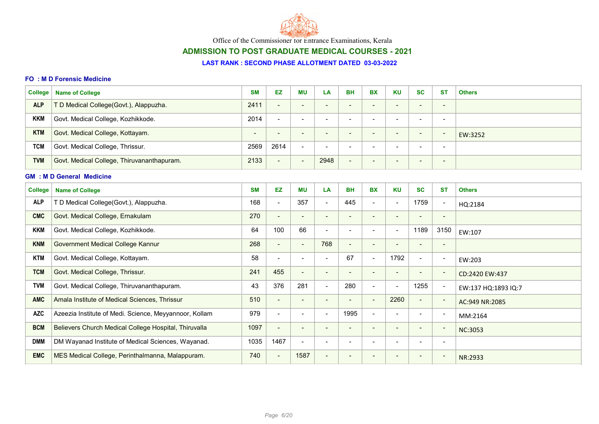

# ADMISSION TO POST GRADUATE MEDICAL COURSES - 2021

#### LAST RANK : SECOND PHASE ALLOTMENT DATED 03-03-2022

#### FO : M D Forensic Medicine

| College    | <b>Name of College</b>                     | <b>SM</b>                | EZ                       | ΜU                       | LA                       | <b>BH</b>                | <b>BX</b>                | <b>KU</b>                | <b>SC</b>                | -ST                      | <b>Others</b> |
|------------|--------------------------------------------|--------------------------|--------------------------|--------------------------|--------------------------|--------------------------|--------------------------|--------------------------|--------------------------|--------------------------|---------------|
| <b>ALP</b> | T D Medical College(Govt.), Alappuzha.     | 2411                     | $\overline{\phantom{a}}$ | $\overline{\phantom{0}}$ | $\overline{\phantom{a}}$ | $\overline{\phantom{0}}$ | $\overline{\phantom{0}}$ | $\overline{\phantom{0}}$ | $\sim$                   | $\overline{\phantom{a}}$ |               |
| <b>KKM</b> | Govt. Medical College, Kozhikkode.         | 2014                     | $\overline{\phantom{0}}$ | $\overline{\phantom{a}}$ | -                        |                          | $\overline{\phantom{0}}$ | -                        |                          | $\overline{\phantom{a}}$ |               |
| <b>KTM</b> | Govt. Medical College, Kottayam.           | $\overline{\phantom{0}}$ | $\overline{\phantom{0}}$ | $\qquad \qquad$          | $\overline{\phantom{a}}$ |                          | $\overline{\phantom{0}}$ | $\qquad \qquad$          | $\sim$                   | $\overline{\phantom{a}}$ | EW:3252       |
| <b>TCM</b> | Govt. Medical College, Thrissur.           | 2569                     | 2614                     | $\overline{\phantom{a}}$ | -                        |                          | $\overline{\phantom{0}}$ | -                        | $\overline{\phantom{0}}$ | $\overline{\phantom{0}}$ |               |
| <b>TVM</b> | Govt. Medical College, Thiruvananthapuram. | 2133                     | $\overline{\phantom{a}}$ | $\qquad \qquad$          | 2948                     | $\overline{\phantom{0}}$ | $\overline{\phantom{0}}$ | $\overline{\phantom{0}}$ | $\sim$                   | $\overline{\phantom{0}}$ |               |

### GM : M D General Medicine

| College <sup>1</sup> | <b>Name of College</b>                                 | <b>SM</b> | EZ                       | <b>MU</b>                | LA                       | <b>BH</b> | <b>BX</b>                | <b>KU</b>                | <b>SC</b>                | <b>ST</b>                | <b>Others</b>       |
|----------------------|--------------------------------------------------------|-----------|--------------------------|--------------------------|--------------------------|-----------|--------------------------|--------------------------|--------------------------|--------------------------|---------------------|
| <b>ALP</b>           | T D Medical College(Govt.), Alappuzha.                 | 168       | $\blacksquare$           | 357                      | $\overline{\phantom{a}}$ | 445       | $\overline{\phantom{0}}$ | $\blacksquare$           | 1759                     | $\overline{\phantom{a}}$ | HQ:2184             |
| <b>CMC</b>           | Govt. Medical College, Ernakulam                       | 270       | $\blacksquare$           | $\overline{\phantom{a}}$ | $\overline{\phantom{a}}$ |           | -                        | $\overline{\phantom{a}}$ |                          | $\overline{\phantom{a}}$ |                     |
| <b>KKM</b>           | Govt. Medical College, Kozhikkode.                     | 64        | 100                      | 66                       |                          |           |                          | $\overline{\phantom{a}}$ | 1189                     | 3150                     | EW:107              |
| <b>KNM</b>           | Government Medical College Kannur                      | 268       | $\overline{\phantom{a}}$ | $\overline{\phantom{a}}$ | 768                      |           | $\overline{\phantom{0}}$ | $\overline{\phantom{a}}$ | $\qquad \qquad$          | $\overline{\phantom{a}}$ |                     |
| <b>KTM</b>           | Govt. Medical College, Kottayam.                       | 58        | $\overline{\phantom{a}}$ |                          | $\overline{\phantom{a}}$ | 67        | $\blacksquare$           | 1792                     | $\blacksquare$           | $\overline{\phantom{a}}$ | EW:203              |
| <b>TCM</b>           | Govt. Medical College, Thrissur.                       | 241       | 455                      | $\blacksquare$           | $\overline{\phantom{a}}$ |           | $\overline{\phantom{0}}$ | $\overline{\phantom{a}}$ | $\overline{\phantom{a}}$ | $\overline{\phantom{a}}$ | CD:2420 EW:437      |
| <b>TVM</b>           | Govt. Medical College, Thiruvananthapuram.             | 43        | 376                      | 281                      | $\overline{\phantom{a}}$ | 280       | -                        | $\overline{\phantom{a}}$ | 1255                     | $\overline{\phantom{a}}$ | EW:137 HQ:1893 IQ:7 |
| <b>AMC</b>           | Amala Institute of Medical Sciences, Thrissur          | 510       | $\overline{\phantom{a}}$ | $\overline{\phantom{a}}$ | $\overline{\phantom{a}}$ |           | $\overline{\phantom{0}}$ | 2260                     | $\overline{\phantom{a}}$ | $\overline{\phantom{a}}$ | AC:949 NR:2085      |
| <b>AZC</b>           | Azeezia Institute of Medi. Science, Meyyannoor, Kollam | 979       | $\blacksquare$           | $\overline{\phantom{a}}$ | $\overline{\phantom{a}}$ | 1995      | -                        | $\overline{\phantom{a}}$ | $\blacksquare$           | $\overline{\phantom{a}}$ | MM:2164             |
| <b>BCM</b>           | Believers Church Medical College Hospital, Thiruvalla  | 1097      | $\overline{\phantom{a}}$ | $\overline{\phantom{a}}$ |                          |           | $\overline{\phantom{0}}$ | $\overline{\phantom{a}}$ | $\qquad \qquad$          | $\overline{\phantom{a}}$ | <b>NC:3053</b>      |
| <b>DMM</b>           | DM Wayanad Institute of Medical Sciences, Wayanad.     | 1035      | 1467                     | $\overline{\phantom{a}}$ |                          |           |                          |                          |                          | ٠                        |                     |
| <b>EMC</b>           | MES Medical College, Perinthalmanna, Malappuram.       | 740       | $\overline{\phantom{a}}$ | 1587                     | $\overline{\phantom{a}}$ |           |                          | $\overline{\phantom{a}}$ | $\overline{\phantom{0}}$ | $\overline{\phantom{a}}$ | NR:2933             |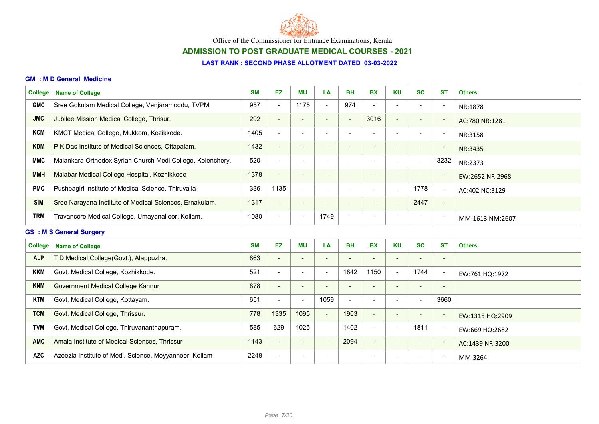

# ADMISSION TO POST GRADUATE MEDICAL COURSES - 2021

#### LAST RANK : SECOND PHASE ALLOTMENT DATED 03-03-2022

#### GM : M D General Medicine

| <b>College</b> | <b>Name of College</b>                                     | <b>SM</b> | <b>EZ</b>                | <b>MU</b>                | <b>LA</b>                | <b>BH</b>                | <b>BX</b>                | <b>KU</b>                | <b>SC</b>                | <b>ST</b>                | <b>Others</b>   |
|----------------|------------------------------------------------------------|-----------|--------------------------|--------------------------|--------------------------|--------------------------|--------------------------|--------------------------|--------------------------|--------------------------|-----------------|
| <b>GMC</b>     | Sree Gokulam Medical College, Venjaramoodu, TVPM           | 957       | $\overline{\phantom{a}}$ | 1175                     | $\overline{\phantom{a}}$ | 974                      | $\overline{\phantom{0}}$ |                          | $\overline{\phantom{0}}$ | $\overline{\phantom{a}}$ | NR:1878         |
| <b>JMC</b>     | Jubilee Mission Medical College, Thrisur.                  | 292       | $\overline{\phantom{a}}$ | $\overline{\phantom{a}}$ |                          |                          | 3016                     | $\overline{\phantom{a}}$ | $\overline{\phantom{0}}$ | $\overline{\phantom{a}}$ | AC:780 NR:1281  |
| <b>KCM</b>     | KMCT Medical College, Mukkom, Kozikkode.                   | 1405      | $\overline{\phantom{a}}$ | $\overline{\phantom{0}}$ | $\overline{\phantom{0}}$ |                          |                          | $\overline{\phantom{0}}$ | $\blacksquare$           | $\overline{\phantom{0}}$ | NR:3158         |
| <b>KDM</b>     | P K Das Institute of Medical Sciences, Ottapalam.          | 1432      | $\overline{\phantom{a}}$ | -                        |                          |                          |                          |                          | $\qquad \qquad$          | $\overline{\phantom{a}}$ | NR:3435         |
| <b>MMC</b>     | Malankara Orthodox Syrian Church Medi.College, Kolenchery. | 520       | $\overline{\phantom{a}}$ |                          |                          |                          |                          |                          | $\overline{\phantom{0}}$ | 3232                     | NR:2373         |
| <b>MMH</b>     | Malabar Medical College Hospital, Kozhikkode               | 1378      | $\overline{\phantom{a}}$ | -                        |                          |                          |                          | $\overline{\phantom{0}}$ | -                        | $\overline{\phantom{a}}$ | EW:2652 NR:2968 |
| <b>PMC</b>     | Pushpagiri Institute of Medical Science, Thiruvalla        | 336       | 1135                     | $\overline{\phantom{a}}$ | $\overline{\phantom{0}}$ | $\overline{\phantom{0}}$ | $\overline{\phantom{0}}$ | $\overline{\phantom{a}}$ | 1778                     | $\overline{\phantom{a}}$ | AC:402 NC:3129  |
| <b>SIM</b>     | Sree Narayana Institute of Medical Sciences, Ernakulam.    | 1317      | $\overline{\phantom{a}}$ |                          |                          |                          |                          | $\overline{\phantom{0}}$ | 2447                     | $\overline{\phantom{a}}$ |                 |
| <b>TRM</b>     | Travancore Medical College, Umayanalloor, Kollam.          | 1080      | $\overline{\phantom{a}}$ | $\overline{\phantom{a}}$ | 1749                     | -                        |                          | $\overline{\phantom{0}}$ | $\overline{\phantom{a}}$ | $\overline{\phantom{0}}$ | MM:1613 NM:2607 |

### GS : M S General Surgery

| College    | <b>Name of College</b>                                 | <b>SM</b> | <b>EZ</b>                | <b>MU</b>                | LA                       | <b>BH</b>                | <b>BX</b>                | <b>KU</b>                | <b>SC</b>                | <b>ST</b>                | <b>Others</b>   |
|------------|--------------------------------------------------------|-----------|--------------------------|--------------------------|--------------------------|--------------------------|--------------------------|--------------------------|--------------------------|--------------------------|-----------------|
| <b>ALP</b> | T D Medical College(Govt.), Alappuzha.                 | 863       | $\qquad \qquad$          | $\overline{\phantom{0}}$ | $\overline{\phantom{a}}$ |                          | $\overline{\phantom{0}}$ | $\overline{\phantom{a}}$ |                          | $\overline{\phantom{a}}$ |                 |
| <b>KKM</b> | Govt. Medical College, Kozhikkode.                     | 521       | $\sim$                   | $\overline{\phantom{0}}$ | $\overline{\phantom{a}}$ | 1842                     | 1150                     | $\blacksquare$           | 1744                     | $\overline{\phantom{a}}$ | EW:761 HQ:1972  |
| <b>KNM</b> | <b>Government Medical College Kannur</b>               | 878       | $\blacksquare$           | $\overline{\phantom{0}}$ | $\overline{\phantom{0}}$ |                          | -                        | $\overline{\phantom{0}}$ | $\overline{\phantom{0}}$ | $\overline{\phantom{a}}$ |                 |
| <b>KTM</b> | Govt. Medical College, Kottayam.                       | 651       | $\overline{\phantom{0}}$ | $\overline{\phantom{a}}$ | 1059                     | $\overline{\phantom{0}}$ | $\overline{\phantom{0}}$ |                          | $\overline{\phantom{0}}$ | 3660                     |                 |
| <b>TCM</b> | Govt. Medical College, Thrissur.                       | 778       | 1335                     | 1095                     | $\overline{\phantom{a}}$ | 1903                     | $\overline{\phantom{0}}$ | $\overline{\phantom{0}}$ | $\overline{\phantom{0}}$ | $\sim$                   | EW:1315 HQ:2909 |
| <b>TVM</b> | Govt. Medical College, Thiruvananthapuram.             | 585       | 629                      | 1025                     | $\overline{\phantom{a}}$ | 1402                     | $\blacksquare$           | $\overline{\phantom{0}}$ | 1811                     | $\overline{\phantom{a}}$ | EW:669 HQ:2682  |
| <b>AMC</b> | Amala Institute of Medical Sciences, Thrissur          | 1143      | $\blacksquare$           | $\qquad \qquad$          | $\overline{\phantom{a}}$ | 2094                     | $\overline{\phantom{0}}$ | $\overline{\phantom{a}}$ | $\overline{\phantom{a}}$ | $\overline{\phantom{a}}$ | AC:1439 NR:3200 |
| <b>AZC</b> | Azeezia Institute of Medi. Science, Meyyannoor, Kollam | 2248      | $\blacksquare$           |                          | -                        |                          |                          | $\overline{\phantom{a}}$ |                          | $\overline{\phantom{0}}$ | MM:3264         |
|            |                                                        |           |                          |                          |                          |                          |                          |                          |                          |                          |                 |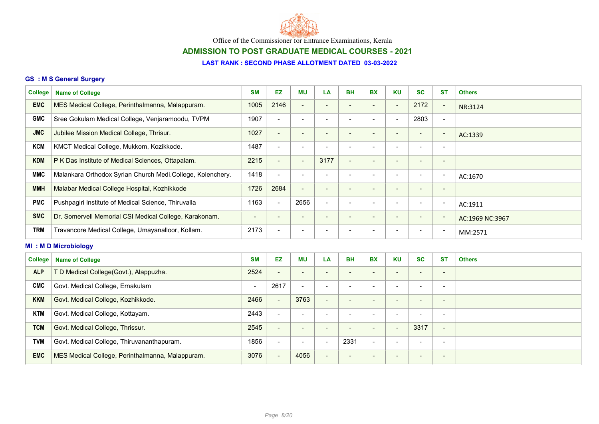

# ADMISSION TO POST GRADUATE MEDICAL COURSES - 2021

## LAST RANK : SECOND PHASE ALLOTMENT DATED 03-03-2022

### GS : M S General Surgery

| <b>College</b> | <b>Name of College</b>                                     | <b>SM</b>                | <b>EZ</b>                | <b>MU</b>                | LA                       | <b>BH</b>                    | <b>BX</b>                | <b>KU</b>                | <b>SC</b>                | <b>ST</b>                | <b>Others</b>   |
|----------------|------------------------------------------------------------|--------------------------|--------------------------|--------------------------|--------------------------|------------------------------|--------------------------|--------------------------|--------------------------|--------------------------|-----------------|
| <b>EMC</b>     | MES Medical College, Perinthalmanna, Malappuram.           | 1005                     | 2146                     | $\blacksquare$           | $\overline{\phantom{a}}$ | $\overline{\phantom{a}}$     | $\qquad \qquad$          | $\overline{\phantom{a}}$ | 2172                     | $\overline{\phantom{a}}$ | NR:3124         |
| <b>GMC</b>     | Sree Gokulam Medical College, Venjaramoodu, TVPM           | 1907                     | $\overline{\phantom{a}}$ | $\overline{\phantom{0}}$ |                          |                              |                          | $\overline{\phantom{0}}$ | 2803                     | $\overline{\phantom{a}}$ |                 |
| <b>JMC</b>     | Jubilee Mission Medical College, Thrisur.                  | 1027                     | $\overline{\phantom{a}}$ | $\overline{\phantom{0}}$ | $\overline{\phantom{0}}$ | $\qquad \qquad \blacksquare$ | $\blacksquare$           | $\overline{\phantom{0}}$ | $\overline{\phantom{a}}$ | $\overline{\phantom{a}}$ | AC:1339         |
| <b>KCM</b>     | KMCT Medical College, Mukkom, Kozikkode.                   | 1487                     | $\blacksquare$           | $\overline{\phantom{a}}$ |                          | $\overline{\phantom{a}}$     |                          | $\overline{\phantom{0}}$ | $\overline{\phantom{a}}$ | $\overline{\phantom{a}}$ |                 |
| <b>KDM</b>     | P K Das Institute of Medical Sciences, Ottapalam.          | 2215                     | $\overline{\phantom{a}}$ | $\overline{\phantom{a}}$ | 3177                     | $\overline{\phantom{0}}$     | $\overline{\phantom{a}}$ | $\overline{\phantom{0}}$ | $\overline{\phantom{a}}$ | $\blacksquare$           |                 |
| <b>MMC</b>     | Malankara Orthodox Syrian Church Medi.College, Kolenchery. | 1418                     | $\blacksquare$           | $\overline{\phantom{0}}$ | $\overline{\phantom{0}}$ | $\overline{\phantom{a}}$     | $\blacksquare$           | $\overline{\phantom{0}}$ | $\overline{\phantom{a}}$ | $\overline{\phantom{a}}$ | AC:1670         |
| <b>MMH</b>     | Malabar Medical College Hospital, Kozhikkode               | 1726                     | 2684                     | $\blacksquare$           |                          |                              |                          |                          | $\overline{\phantom{0}}$ | $\overline{\phantom{a}}$ |                 |
| <b>PMC</b>     | Pushpagiri Institute of Medical Science, Thiruvalla        | 1163                     | $\blacksquare$           | 2656                     | $\overline{\phantom{a}}$ | $\overline{\phantom{0}}$     |                          | $\overline{\phantom{0}}$ | $\overline{\phantom{a}}$ | $\overline{\phantom{a}}$ | AC:1911         |
| <b>SMC</b>     | Dr. Somervell Memorial CSI Medical College, Karakonam.     | $\overline{\phantom{a}}$ | $\overline{\phantom{a}}$ | $\overline{\phantom{a}}$ | $\overline{\phantom{0}}$ | $\overline{\phantom{0}}$     | $\blacksquare$           | $\overline{\phantom{0}}$ | $\overline{\phantom{a}}$ | $\overline{\phantom{a}}$ | AC:1969 NC:3967 |
| <b>TRM</b>     | Travancore Medical College, Umayanalloor, Kollam.          | 2173                     | $\overline{\phantom{a}}$ | $\blacksquare$           | $\overline{\phantom{0}}$ | $\qquad \qquad$              |                          | $\overline{\phantom{0}}$ | $\blacksquare$           | $\blacksquare$           | MM:2571         |
|                | <b>MI: MD Microbiology</b>                                 |                          |                          |                          |                          |                              |                          |                          |                          |                          |                 |
| <b>College</b> | <b>Name of College</b>                                     | <b>SM</b>                | EZ                       | <b>MU</b>                | LA                       | <b>BH</b>                    | <b>BX</b>                | <b>KU</b>                | <b>SC</b>                | <b>ST</b>                | <b>Others</b>   |
| <b>ALP</b>     | T D Medical College(Govt.), Alappuzha.                     | 2524                     | $\qquad \qquad$          | $\overline{\phantom{a}}$ | $\overline{\phantom{0}}$ | -                            |                          | $\overline{\phantom{0}}$ | $\overline{\phantom{a}}$ | $\overline{\phantom{a}}$ |                 |

| <b>ALP</b> | T D Medical College(Govt.), Alappuzha.           | 2524 | $\overline{\phantom{0}}$ | $\overline{\phantom{0}}$ | $\overline{\phantom{0}}$ | $\overline{\phantom{0}}$ |   | - |                          |                          |  |
|------------|--------------------------------------------------|------|--------------------------|--------------------------|--------------------------|--------------------------|---|---|--------------------------|--------------------------|--|
| <b>CMC</b> | Govt. Medical College, Ernakulam                 |      | 2617                     | $\overline{\phantom{a}}$ | $\overline{\phantom{0}}$ | $\overline{\phantom{0}}$ |   | - |                          | -                        |  |
| <b>KKM</b> | Govt. Medical College, Kozhikkode.               | 2466 |                          | 3763                     | $\overline{\phantom{a}}$ | $\overline{\phantom{0}}$ | - | - |                          | $\overline{\phantom{0}}$ |  |
| <b>KTM</b> | Govt. Medical College, Kottayam.                 | 2443 | $\overline{\phantom{a}}$ |                          | $\overline{\phantom{a}}$ | $\overline{\phantom{0}}$ | - | - | $\overline{\phantom{0}}$ |                          |  |
| <b>TCM</b> | Govt. Medical College, Thrissur.                 | 2545 | $\overline{\phantom{0}}$ | $\overline{\phantom{0}}$ | $\overline{\phantom{a}}$ | $\overline{\phantom{0}}$ | - | - | 3317                     | $\overline{\phantom{a}}$ |  |
| <b>TVM</b> | Govt. Medical College, Thiruvananthapuram.       | 1856 | -                        | $\overline{\phantom{0}}$ | $\overline{\phantom{a}}$ | 2331                     | - | - | $\overline{\phantom{0}}$ | -                        |  |
| <b>EMC</b> | MES Medical College, Perinthalmanna, Malappuram. | 3076 |                          | 4056                     | $\blacksquare$           | $\overline{\phantom{0}}$ | - | - |                          | $\overline{\phantom{0}}$ |  |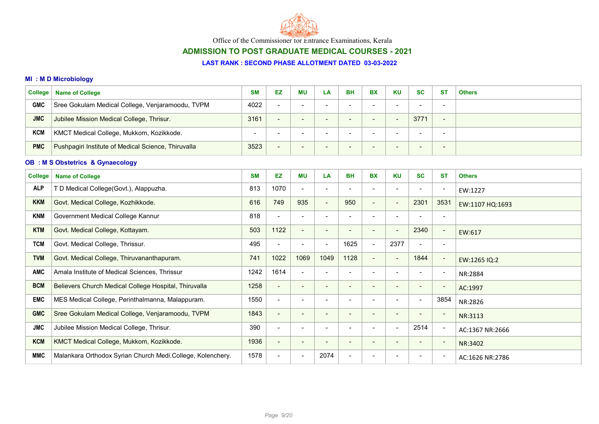

# ADMISSION TO POST GRADUATE MEDICAL COURSES - 2021

#### LAST RANK : SECOND PHASE ALLOTMENT DATED 03-03-2022

### MI : M D Microbiology

| <b>College</b> | <b>Name of College</b>                              | <b>SM</b>                | EZ                       | МU                       | LA                       | <b>BH</b>                | <b>BX</b>                | <b>KU</b>                | <b>SC</b>                | <b>ST</b>                | <b>Others</b> |
|----------------|-----------------------------------------------------|--------------------------|--------------------------|--------------------------|--------------------------|--------------------------|--------------------------|--------------------------|--------------------------|--------------------------|---------------|
| <b>GMC</b>     | Sree Gokulam Medical College, Venjaramoodu, TVPM    | 4022                     | $\overline{\phantom{a}}$ | $\overline{\phantom{0}}$ | $\overline{\phantom{a}}$ | $\overline{\phantom{0}}$ | $\overline{\phantom{0}}$ | $\overline{\phantom{0}}$ | $\overline{\phantom{a}}$ | $\overline{\phantom{a}}$ |               |
| <b>JMC</b>     | Jubilee Mission Medical College, Thrisur.           | 3161                     | $\qquad \qquad$          | $\overline{\phantom{0}}$ | - -                      | $\overline{\phantom{0}}$ | $\overline{\phantom{0}}$ | $\qquad \qquad$          | 3771                     | $\overline{\phantom{a}}$ |               |
| <b>KCM</b>     | KMCT Medical College, Mukkom, Kozikkode.            | $\overline{\phantom{0}}$ | -                        | -                        |                          |                          |                          |                          | $\overline{\phantom{0}}$ | $\overline{\phantom{a}}$ |               |
| <b>PMC</b>     | Pushpagiri Institute of Medical Science, Thiruvalla | 3523                     | $\qquad \qquad$          | -                        | . .                      | $\overline{\phantom{0}}$ | $\overline{\phantom{0}}$ | $\overline{\phantom{0}}$ | $\sim$                   | $\overline{\phantom{0}}$ |               |

## OB : M S Obstetrics & Gynaecology

| <b>College</b> | <b>Name of College</b>                                     | <b>SM</b> | EZ                       | <b>MU</b>                    | LA                       | <b>BH</b>      | <b>BX</b>                | <b>KU</b>                | <b>SC</b>                | <b>ST</b>                | <b>Others</b>   |
|----------------|------------------------------------------------------------|-----------|--------------------------|------------------------------|--------------------------|----------------|--------------------------|--------------------------|--------------------------|--------------------------|-----------------|
| <b>ALP</b>     | D Medical College(Govt.), Alappuzha.                       | 813       | 1070                     | $\blacksquare$               |                          |                |                          | $\overline{\phantom{a}}$ | $\blacksquare$           | $\overline{\phantom{a}}$ | EW:1227         |
| <b>KKM</b>     | Govt. Medical College, Kozhikkode.                         | 616       | 749                      | 935                          | $\overline{\phantom{a}}$ | 950            | $\blacksquare$           | $\overline{\phantom{a}}$ | 2301                     | 3531                     | EW:1107 HQ:1693 |
| <b>KNM</b>     | Government Medical College Kannur                          | 818       | $\overline{\phantom{a}}$ | $\qquad \qquad \blacksquare$ | $\overline{\phantom{a}}$ |                |                          | $\overline{\phantom{a}}$ |                          | $\overline{\phantom{a}}$ |                 |
| <b>KTM</b>     | Govt. Medical College, Kottayam.                           | 503       | 1122                     | $\overline{\phantom{a}}$     | $\overline{\phantom{a}}$ |                |                          | $\overline{\phantom{a}}$ | 2340                     | $\blacksquare$           | EW:617          |
| <b>TCM</b>     | Govt. Medical College, Thrissur.                           | 495       | $\overline{\phantom{a}}$ | $\blacksquare$               | $\overline{\phantom{a}}$ | 1625           |                          | 2377                     | $\overline{\phantom{a}}$ | $\overline{\phantom{a}}$ |                 |
| <b>TVM</b>     | Govt. Medical College, Thiruvananthapuram.                 | 741       | 1022                     | 1069                         | 1049                     | 1128           | $\overline{\phantom{0}}$ | $\overline{\phantom{a}}$ | 1844                     | $\overline{\phantom{a}}$ | EW:1265 IQ:2    |
| <b>AMC</b>     | Amala Institute of Medical Sciences, Thrissur              | 1242      | 1614                     | $\overline{\phantom{a}}$     |                          |                |                          | $\overline{\phantom{a}}$ | $\blacksquare$           | $\overline{\phantom{a}}$ | NR:2884         |
| <b>BCM</b>     | Believers Church Medical College Hospital, Thiruvalla      | 1258      | $\overline{\phantom{a}}$ | -                            | $\overline{\phantom{a}}$ |                |                          |                          |                          | $\overline{\phantom{a}}$ | AC:1997         |
| <b>EMC</b>     | MES Medical College, Perinthalmanna, Malappuram.           | 1550      | $\overline{\phantom{a}}$ | $\overline{\phantom{a}}$     | $\overline{\phantom{a}}$ | $\blacksquare$ |                          | $\blacksquare$           | $\overline{\phantom{a}}$ | 3854                     | NR:2826         |
| <b>GMC</b>     | Sree Gokulam Medical College, Venjaramoodu, TVPM           | 1843      | $\overline{\phantom{a}}$ | $\overline{\phantom{a}}$     | $\overline{\phantom{a}}$ |                |                          | $\overline{\phantom{a}}$ | $\qquad \qquad$          | $\overline{\phantom{a}}$ | NR:3113         |
| <b>JMC</b>     | Jubilee Mission Medical College, Thrisur.                  | 390       | $\blacksquare$           | $\blacksquare$               | $\overline{\phantom{0}}$ |                |                          | $\blacksquare$           | 2514                     | $\overline{\phantom{a}}$ | AC:1367 NR:2666 |
| <b>KCM</b>     | KMCT Medical College, Mukkom, Kozikkode.                   | 1936      | $\overline{\phantom{a}}$ | $\overline{\phantom{a}}$     | $\overline{\phantom{a}}$ |                |                          | $\overline{\phantom{a}}$ |                          | $\overline{\phantom{a}}$ | NR:3402         |
| <b>MMC</b>     | Malankara Orthodox Syrian Church Medi.College, Kolenchery. | 1578      | $\overline{\phantom{a}}$ | $\overline{\phantom{a}}$     | 2074                     |                |                          | $\overline{\phantom{0}}$ |                          | $\overline{\phantom{a}}$ | AC:1626 NR:2786 |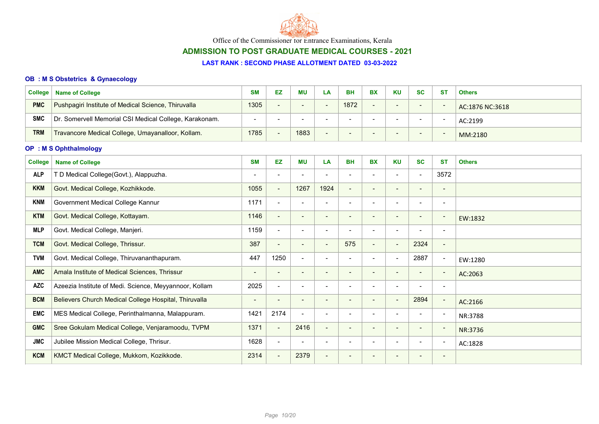

# ADMISSION TO POST GRADUATE MEDICAL COURSES - 2021

#### LAST RANK : SECOND PHASE ALLOTMENT DATED 03-03-2022

### OB : M S Obstetrics & Gynaecology

| <b>College</b> | <b>Name of College</b>                                 | <b>SM</b> | EZ                       | <b>MU</b>                | <b>BH</b> | <b>BX</b>                | KU                       | <b>SC</b>                | <b>ST</b> | <b>Others</b>   |
|----------------|--------------------------------------------------------|-----------|--------------------------|--------------------------|-----------|--------------------------|--------------------------|--------------------------|-----------|-----------------|
| <b>PMC</b>     | Pushpagiri Institute of Medical Science, Thiruvalla    | 1305      | $\overline{\phantom{0}}$ | $\overline{\phantom{a}}$ | 1872      | $\overline{\phantom{0}}$ | $\overline{\phantom{0}}$ | $\overline{\phantom{0}}$ |           | AC:1876 NC:3618 |
| <b>SMC</b>     | Dr. Somervell Memorial CSI Medical College, Karakonam. |           | <b>.</b>                 |                          |           |                          | $\overline{\phantom{0}}$ |                          |           | AC:2199         |
| <b>TRM</b>     | Travancore Medical College, Umayanalloor, Kollam.      | 1785      |                          | 1883                     |           |                          | $\overline{\phantom{0}}$ | $\overline{\phantom{a}}$ |           | MM:2180         |

### OP : M S Ophthalmology

| <b>College</b> | <b>Name of College</b>                                 | <b>SM</b>                | EZ              | <b>MU</b>                | LA                       | <b>BH</b>                | <b>BX</b>                | <b>KU</b>                | <b>SC</b>                | <b>ST</b>                    | <b>Others</b> |
|----------------|--------------------------------------------------------|--------------------------|-----------------|--------------------------|--------------------------|--------------------------|--------------------------|--------------------------|--------------------------|------------------------------|---------------|
| <b>ALP</b>     | T D Medical College(Govt.), Alappuzha.                 | -                        | $\,$            |                          | $\overline{\phantom{a}}$ |                          |                          | $\blacksquare$           | $\overline{\phantom{a}}$ | 3572                         |               |
| <b>KKM</b>     | Govt. Medical College, Kozhikkode.                     | 1055                     | $\blacksquare$  | 1267                     | 1924                     | $\overline{\phantom{a}}$ | -                        | $\overline{\phantom{a}}$ | $\overline{\phantom{0}}$ | -                            |               |
| <b>KNM</b>     | Government Medical College Kannur                      | 1171                     | $\blacksquare$  |                          | $\overline{\phantom{a}}$ |                          |                          | $\overline{\phantom{a}}$ |                          | $\overline{\phantom{a}}$     |               |
| <b>KTM</b>     | Govt. Medical College, Kottayam.                       | 1146                     | $\blacksquare$  | $\overline{\phantom{a}}$ | $\overline{\phantom{a}}$ |                          |                          | $\overline{\phantom{a}}$ | -                        | $\blacksquare$               | EW:1832       |
| <b>MLP</b>     | Govt. Medical College, Manjeri.                        | 1159                     | $\blacksquare$  |                          | $\overline{\phantom{a}}$ |                          |                          | $\overline{\phantom{a}}$ |                          | $\overline{\phantom{a}}$     |               |
| <b>TCM</b>     | Govt. Medical College, Thrissur.                       | 387                      | $\blacksquare$  | $\qquad \qquad$          | $\overline{\phantom{a}}$ | 575                      | $\overline{\phantom{0}}$ | $\overline{\phantom{a}}$ | 2324                     | $\overline{\phantom{a}}$     |               |
| <b>TVM</b>     | Govt. Medical College, Thiruvananthapuram.             | 447                      | 1250            | $\blacksquare$           | $\overline{\phantom{a}}$ |                          | -                        | $\overline{\phantom{a}}$ | 2887                     | $\overline{\phantom{a}}$     | EW:1280       |
| <b>AMC</b>     | Amala Institute of Medical Sciences, Thrissur          |                          | $\qquad \qquad$ |                          | $\overline{\phantom{a}}$ |                          |                          | $\overline{\phantom{a}}$ |                          | $\overline{\phantom{a}}$     | AC:2063       |
| <b>AZC</b>     | Azeezia Institute of Medi. Science, Meyyannoor, Kollam | 2025                     | $\blacksquare$  |                          |                          |                          |                          |                          |                          | $\overline{\phantom{a}}$     |               |
| <b>BCM</b>     | Believers Church Medical College Hospital, Thiruvalla  | $\overline{\phantom{0}}$ | $\qquad \qquad$ |                          |                          |                          |                          | $\overline{\phantom{a}}$ | 2894                     | $\overline{\phantom{a}}$     | AC:2166       |
| <b>EMC</b>     | MES Medical College, Perinthalmanna, Malappuram.       | 1421                     | 2174            | $\blacksquare$           | $\overline{\phantom{a}}$ |                          |                          | $\overline{\phantom{0}}$ | $\overline{\phantom{a}}$ | $\blacksquare$               | NR:3788       |
| <b>GMC</b>     | Sree Gokulam Medical College, Venjaramoodu, TVPM       | 1371                     | $\blacksquare$  | 2416                     | $\overline{\phantom{a}}$ | $\overline{\phantom{0}}$ | -                        | $\overline{\phantom{a}}$ | $\overline{\phantom{a}}$ | $\blacksquare$               | NR:3736       |
| <b>JMC</b>     | Jubilee Mission Medical College, Thrisur.              | 1628                     | $\blacksquare$  | $\overline{\phantom{a}}$ | $\overline{\phantom{a}}$ |                          |                          | $\overline{\phantom{a}}$ | $\overline{\phantom{a}}$ | $\blacksquare$               | AC:1828       |
| <b>KCM</b>     | KMCT Medical College, Mukkom, Kozikkode.               | 2314                     | $\blacksquare$  | 2379                     | $\overline{\phantom{a}}$ |                          |                          |                          |                          | $\qquad \qquad \blacksquare$ |               |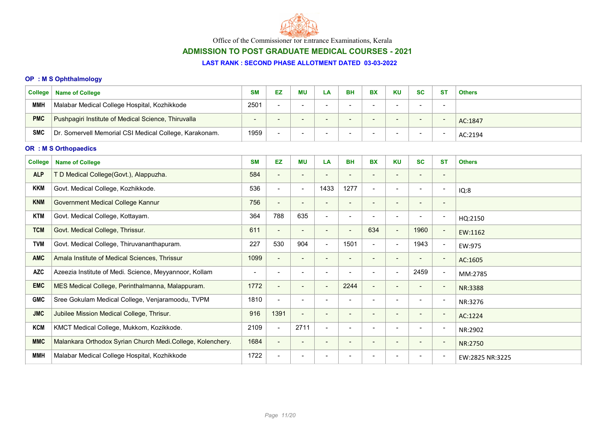

# ADMISSION TO POST GRADUATE MEDICAL COURSES - 2021

#### LAST RANK : SECOND PHASE ALLOTMENT DATED 03-03-2022

### OP : M S Ophthalmology

| College    | <b>Name of College</b>                                 | <b>SM</b>                | EZ                       | <b>MU</b> | - 4ے | BH | ВX                       | KU                       | <b>SC</b> | -ST | <b>Others</b> |
|------------|--------------------------------------------------------|--------------------------|--------------------------|-----------|------|----|--------------------------|--------------------------|-----------|-----|---------------|
| <b>MMH</b> | Malabar Medical College Hospital, Kozhikkode           | 2501                     | $\overline{\phantom{a}}$ |           |      |    | $\overline{\phantom{0}}$ |                          |           | -   |               |
| <b>PMC</b> | Pushpagiri Institute of Medical Science, Thiruvalla    | $\overline{\phantom{a}}$ | $\overline{\phantom{0}}$ | $\sim$    |      |    | $\overline{\phantom{a}}$ | $\overline{\phantom{0}}$ | -         |     | AC:1847       |
| <b>SMC</b> | Dr. Somervell Memorial CSI Medical College, Karakonam. | 1959                     | $\overline{\phantom{0}}$ |           |      |    | $\overline{\phantom{a}}$ |                          |           |     | AC:2194       |

### OR : M S Orthopaedics

| <b>College</b> | <b>Name of College</b>                                     | <b>SM</b> | EZ                       | ΜU                       | LA                       | <b>BH</b> | <b>BX</b>                | <b>KU</b>                | <b>SC</b>                | <b>ST</b>                | <b>Others</b>   |
|----------------|------------------------------------------------------------|-----------|--------------------------|--------------------------|--------------------------|-----------|--------------------------|--------------------------|--------------------------|--------------------------|-----------------|
| <b>ALP</b>     | T D Medical College(Govt.), Alappuzha.                     | 584       | $\blacksquare$           |                          |                          |           |                          |                          |                          | $\overline{\phantom{a}}$ |                 |
| <b>KKM</b>     | Govt. Medical College, Kozhikkode.                         | 536       | $\blacksquare$           | $\blacksquare$           | 1433                     | 1277      | $\overline{\phantom{0}}$ | $\overline{\phantom{a}}$ |                          | $\overline{\phantom{a}}$ | IQ:8            |
| <b>KNM</b>     | Government Medical College Kannur                          | 756       | $\blacksquare$           |                          | $\overline{\phantom{a}}$ |           | $\overline{\phantom{0}}$ | $\overline{\phantom{a}}$ |                          | $\blacksquare$           |                 |
| <b>KTM</b>     | Govt. Medical College, Kottayam.                           | 364       | 788                      | 635                      | $\blacksquare$           |           | $\,$                     | $\overline{\phantom{a}}$ |                          | $\overline{\phantom{a}}$ | HQ:2150         |
| <b>TCM</b>     | Govt. Medical College, Thrissur.                           | 611       | $\overline{\phantom{a}}$ |                          | $\overline{\phantom{a}}$ |           | 634                      | $\sim$                   | 1960                     | $\overline{\phantom{a}}$ | EW:1162         |
| <b>TVM</b>     | Govt. Medical College, Thiruvananthapuram.                 | 227       | 530                      | 904                      | $\overline{\phantom{a}}$ | 1501      | $\blacksquare$           | $\sim$                   | 1943                     | $\overline{\phantom{a}}$ | EW:975          |
| <b>AMC</b>     | Amala Institute of Medical Sciences, Thrissur              | 1099      | $\overline{\phantom{a}}$ |                          |                          |           | $\overline{\phantom{0}}$ | $\overline{\phantom{a}}$ |                          | $\overline{\phantom{a}}$ | AC:1605         |
| <b>AZC</b>     | Azeezia Institute of Medi. Science, Meyyannoor, Kollam     | -         | $\overline{\phantom{a}}$ |                          |                          |           |                          | $\blacksquare$           | 2459                     | $\overline{\phantom{a}}$ | MM:2785         |
| <b>EMC</b>     | MES Medical College, Perinthalmanna, Malappuram.           | 1772      | $\blacksquare$           | $\overline{\phantom{a}}$ | $\overline{\phantom{a}}$ | 2244      | $\overline{\phantom{0}}$ | $\overline{\phantom{a}}$ | $\overline{\phantom{0}}$ | $\overline{\phantom{a}}$ | NR:3388         |
| <b>GMC</b>     | Sree Gokulam Medical College, Venjaramoodu, TVPM           | 1810      | $\blacksquare$           | $\overline{\phantom{0}}$ |                          |           | $\overline{\phantom{0}}$ | $\overline{\phantom{0}}$ | $\overline{\phantom{0}}$ | $\overline{\phantom{a}}$ | NR:3276         |
| <b>JMC</b>     | Jubilee Mission Medical College, Thrisur.                  | 916       | 1391                     | $\overline{\phantom{a}}$ | $\overline{\phantom{a}}$ |           | $\overline{\phantom{a}}$ | $\overline{\phantom{a}}$ | $\overline{\phantom{a}}$ | $\overline{\phantom{a}}$ | AC:1224         |
| <b>KCM</b>     | KMCT Medical College, Mukkom, Kozikkode.                   | 2109      | $\blacksquare$           | 2711                     | $\overline{\phantom{a}}$ |           | $\overline{\phantom{0}}$ | $\overline{\phantom{a}}$ | $\blacksquare$           | $\overline{\phantom{a}}$ | NR:2902         |
| <b>MMC</b>     | Malankara Orthodox Syrian Church Medi.College, Kolenchery. | 1684      | $\blacksquare$           | $\overline{\phantom{a}}$ | $\overline{\phantom{a}}$ |           | $\overline{\phantom{a}}$ | $\overline{\phantom{a}}$ | $\overline{\phantom{a}}$ | $\overline{\phantom{a}}$ | NR:2750         |
| <b>MMH</b>     | Malabar Medical College Hospital, Kozhikkode               | 1722      | $\overline{\phantom{a}}$ |                          |                          |           |                          |                          |                          | $\overline{\phantom{a}}$ | EW:2825 NR:3225 |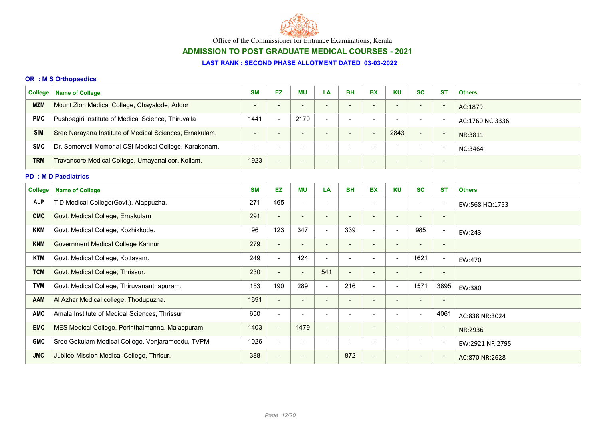

# ADMISSION TO POST GRADUATE MEDICAL COURSES - 2021

### LAST RANK : SECOND PHASE ALLOTMENT DATED 03-03-2022

### OR : M S Orthopaedics

| <b>College</b> | <b>Name of College</b>                                  | <b>SM</b>                | <b>EZ</b>                | <b>MU</b>                | LA                       | <b>BH</b>                | <b>BX</b>                | <b>KU</b>                | <b>SC</b>                    | <b>ST</b>                | <b>Others</b>   |
|----------------|---------------------------------------------------------|--------------------------|--------------------------|--------------------------|--------------------------|--------------------------|--------------------------|--------------------------|------------------------------|--------------------------|-----------------|
| <b>MZM</b>     | Mount Zion Medical College, Chayalode, Adoor            | $\overline{\phantom{a}}$ | $\blacksquare$           | $\overline{\phantom{a}}$ |                          | $\overline{\phantom{a}}$ | $\overline{\phantom{a}}$ | $\blacksquare$           | $\qquad \qquad \blacksquare$ | $\overline{\phantom{a}}$ | AC:1879         |
| <b>PMC</b>     | Pushpagiri Institute of Medical Science, Thiruvalla     | 1441                     | $\blacksquare$           | 2170                     | $\blacksquare$           | $\blacksquare$           | $\overline{\phantom{a}}$ | $\overline{\phantom{a}}$ | $\overline{\phantom{a}}$     | $\overline{\phantom{a}}$ | AC:1760 NC:3336 |
| <b>SIM</b>     | Sree Narayana Institute of Medical Sciences, Ernakulam. | $\blacksquare$           | $\qquad \qquad$          | $\overline{\phantom{a}}$ |                          | $\qquad \qquad -$        | $\overline{\phantom{a}}$ | 2843                     | $\overline{\phantom{a}}$     | $\overline{\phantom{a}}$ | NR:3811         |
| <b>SMC</b>     | Dr. Somervell Memorial CSI Medical College, Karakonam.  | $\overline{\phantom{a}}$ | $\overline{\phantom{a}}$ | $\overline{\phantom{a}}$ |                          | $\overline{\phantom{a}}$ | $\overline{\phantom{0}}$ | $\overline{\phantom{a}}$ |                              |                          | NC:3464         |
| <b>TRM</b>     | Travancore Medical College, Umayanalloor, Kollam.       | 1923                     |                          | $\overline{\phantom{a}}$ |                          |                          |                          |                          | $\overline{\phantom{a}}$     | $\overline{\phantom{a}}$ |                 |
|                | <b>PD : M D Paediatrics</b>                             |                          |                          |                          |                          |                          |                          |                          |                              |                          |                 |
| <b>College</b> | <b>Name of College</b>                                  | <b>SM</b>                | <b>EZ</b>                | MU                       | LA                       | <b>BH</b>                | <b>BX</b>                | <b>KU</b>                | <b>SC</b>                    | <b>ST</b>                | <b>Others</b>   |
| <b>ALP</b>     | T D Medical College(Govt.), Alappuzha.                  | 271                      | 465                      | $\overline{\phantom{a}}$ |                          | $\overline{\phantom{a}}$ |                          | $\overline{\phantom{a}}$ | $\overline{\phantom{a}}$     | $\overline{\phantom{a}}$ | EW:568 HQ:1753  |
| <b>CMC</b>     | Govt. Medical College, Ernakulam                        | 291                      | $\overline{\phantom{a}}$ | $\overline{\phantom{a}}$ | $\overline{\phantom{a}}$ | $\overline{\phantom{a}}$ | $\overline{\phantom{a}}$ | $\overline{\phantom{a}}$ | $\overline{\phantom{0}}$     | $\overline{\phantom{a}}$ |                 |
| <b>KKM</b>     | Govt. Medical College, Kozhikkode.                      | 96                       | 123                      | 347                      | $\overline{\phantom{a}}$ | 339                      | $\blacksquare$           | $\blacksquare$           | 985                          | $\overline{\phantom{a}}$ | EW:243          |
| <b>KNM</b>     | Government Medical College Kannur                       | 279                      | $\blacksquare$           | $\overline{\phantom{a}}$ | $\overline{\phantom{a}}$ | $\blacksquare$           | $\blacksquare$           | $\overline{\phantom{a}}$ | $\overline{\phantom{a}}$     | $\overline{\phantom{a}}$ |                 |
| <b>KTM</b>     | Govt. Medical College, Kottayam.                        | 249                      | $\blacksquare$           | 424                      |                          | $\blacksquare$           | $\blacksquare$           | $\blacksquare$           | 1621                         | $\overline{\phantom{a}}$ | EW:470          |
| <b>TCM</b>     | Govt. Medical College, Thrissur.                        | 230                      | $\overline{\phantom{a}}$ | $\overline{\phantom{a}}$ | 541                      | $\blacksquare$           | $\overline{\phantom{0}}$ | $\blacksquare$           | $\overline{\phantom{a}}$     | $\overline{\phantom{a}}$ |                 |
| <b>TVM</b>     | Govt. Medical College, Thiruvananthapuram.              | 153                      | 190                      | 289                      | $\blacksquare$           | 216                      | $\blacksquare$           | $\blacksquare$           | 1571                         | 3895                     | EW:380          |
| <b>AAM</b>     | Al Azhar Medical college, Thodupuzha.                   | 1691                     | $\blacksquare$           | $\overline{\phantom{a}}$ |                          | $\overline{\phantom{a}}$ | $\overline{\phantom{a}}$ | $\blacksquare$           | $\overline{\phantom{a}}$     | $\overline{\phantom{a}}$ |                 |
| <b>AMC</b>     | Amala Institute of Medical Sciences, Thrissur           | 650                      | $\blacksquare$           | $\overline{\phantom{a}}$ | $\overline{\phantom{a}}$ | $\overline{\phantom{0}}$ | $\blacksquare$           | $\overline{\phantom{a}}$ | $\blacksquare$               | 4061                     | AC:838 NR:3024  |
| <b>EMC</b>     | MES Medical College, Perinthalmanna, Malappuram.        | 1403                     | $\blacksquare$           | 1479                     |                          | $\overline{\phantom{a}}$ | $\overline{\phantom{a}}$ |                          | $\overline{\phantom{a}}$     | $\overline{\phantom{a}}$ | NR:2936         |
| <b>GMC</b>     | Sree Gokulam Medical College, Venjaramoodu, TVPM        | 1026                     | $\blacksquare$           |                          |                          |                          |                          | $\blacksquare$           |                              |                          | EW:2921 NR:2795 |
| <b>JMC</b>     | Jubilee Mission Medical College, Thrisur.               | 388                      | $\overline{\phantom{a}}$ |                          |                          | 872                      | $\blacksquare$           | $\overline{\phantom{a}}$ | $\overline{\phantom{a}}$     |                          | AC:870 NR:2628  |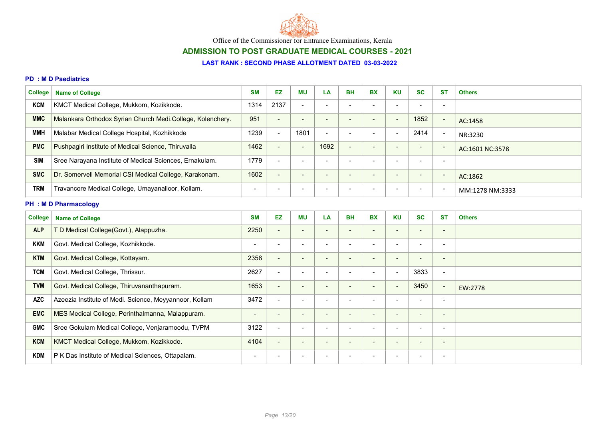

# ADMISSION TO POST GRADUATE MEDICAL COURSES - 2021

#### LAST RANK : SECOND PHASE ALLOTMENT DATED 03-03-2022

#### PD : M D Paediatrics

| <b>College</b> | <b>Name of College</b>                                     | <b>SM</b> | EZ                       | ΜU                       | LA                       | <b>BH</b>                | <b>BX</b>                | <b>KU</b>                | <b>SC</b>                | <b>ST</b>                | <b>Others</b>   |
|----------------|------------------------------------------------------------|-----------|--------------------------|--------------------------|--------------------------|--------------------------|--------------------------|--------------------------|--------------------------|--------------------------|-----------------|
| KCM            | KMCT Medical College, Mukkom, Kozikkode.                   | 1314      | 2137                     | $\overline{\phantom{a}}$ | $\overline{\phantom{0}}$ | -                        |                          | $\overline{\phantom{a}}$ | $\overline{\phantom{0}}$ | $\blacksquare$           |                 |
| <b>MMC</b>     | Malankara Orthodox Syrian Church Medi.College, Kolenchery. | 951       | $\overline{\phantom{0}}$ | $\overline{\phantom{0}}$ |                          |                          | $\overline{\phantom{0}}$ | $\overline{\phantom{0}}$ | 1852                     | $\overline{\phantom{a}}$ | AC:1458         |
| ММН            | Malabar Medical College Hospital, Kozhikkode               | 1239      | $\overline{\phantom{0}}$ | 1801                     |                          |                          |                          | -                        | 2414                     | $\overline{\phantom{a}}$ | NR:3230         |
| <b>PMC</b>     | Pushpagiri Institute of Medical Science, Thiruvalla        | 1462      | $\overline{\phantom{0}}$ | $\overline{\phantom{a}}$ | 1692                     | $\overline{\phantom{0}}$ | $\overline{\phantom{0}}$ | -                        | $\sim$                   | $\overline{\phantom{a}}$ | AC:1601 NC:3578 |
| <b>SIM</b>     | Sree Narayana Institute of Medical Sciences, Ernakulam.    | 1779      |                          |                          |                          |                          |                          |                          | -                        | $\overline{\phantom{0}}$ |                 |
| <b>SMC</b>     | Dr. Somervell Memorial CSI Medical College, Karakonam.     | 1602      | $\overline{\phantom{a}}$ | $\blacksquare$           |                          | -                        | $\overline{\phantom{0}}$ | $\overline{\phantom{0}}$ | $\qquad \qquad$          | $\overline{\phantom{a}}$ | AC:1862         |
| <b>TRM</b>     | Travancore Medical College, Umayanalloor, Kollam.          |           | -                        | -                        |                          | -                        |                          | -                        | $\overline{\phantom{0}}$ | $\overline{\phantom{a}}$ | MM:1278 NM:3333 |

### PH : M D Pharmacology

| <b>College</b><br><b>Name of College</b>               | <b>SM</b>       | EZ                       | <b>MU</b>                | LA                       | <b>BH</b>                | <b>BX</b>                | <b>KU</b>                | <b>SC</b>                | <b>ST</b>                | <b>Others</b> |
|--------------------------------------------------------|-----------------|--------------------------|--------------------------|--------------------------|--------------------------|--------------------------|--------------------------|--------------------------|--------------------------|---------------|
| T D Medical College(Govt.), Alappuzha.                 | 2250            | $\blacksquare$           | $\overline{\phantom{a}}$ | $\overline{\phantom{a}}$ |                          | $\overline{\phantom{a}}$ | $\overline{\phantom{a}}$ | $\overline{\phantom{0}}$ | $\overline{\phantom{a}}$ |               |
| Govt. Medical College, Kozhikkode.                     | $\blacksquare$  | $\blacksquare$           | $\overline{\phantom{a}}$ | $\overline{\phantom{0}}$ |                          | $\blacksquare$           | $\overline{\phantom{0}}$ | $\overline{\phantom{0}}$ | $\overline{\phantom{a}}$ |               |
| Govt. Medical College, Kottayam.                       | 2358            | $\overline{\phantom{a}}$ | $\qquad \qquad$          | $\overline{\phantom{a}}$ |                          | $\qquad \qquad$          | $\overline{\phantom{a}}$ | $\overline{\phantom{0}}$ | $\overline{\phantom{a}}$ |               |
| Govt. Medical College, Thrissur.                       | 2627            | $\overline{\phantom{a}}$ | $\overline{\phantom{0}}$ |                          |                          | $\overline{\phantom{0}}$ | $\overline{\phantom{a}}$ | 3833                     | $\overline{\phantom{a}}$ |               |
| Govt. Medical College, Thiruvananthapuram.             | 1653            | $\blacksquare$           | $\blacksquare$           | $\overline{\phantom{a}}$ |                          | $\overline{\phantom{a}}$ | $\overline{\phantom{a}}$ | 3450                     | $\sim$                   | EW:2778       |
| Azeezia Institute of Medi. Science, Meyyannoor, Kollam | 3472            | $\blacksquare$           | $\overline{\phantom{a}}$ | $\overline{\phantom{a}}$ |                          | $\overline{\phantom{a}}$ | $\overline{\phantom{a}}$ | $\overline{\phantom{0}}$ | $\overline{\phantom{a}}$ |               |
| MES Medical College, Perinthalmanna, Malappuram.       | $\qquad \qquad$ | $\overline{\phantom{a}}$ | $\overline{\phantom{0}}$ | $\overline{\phantom{a}}$ |                          | $\overline{\phantom{0}}$ | $\overline{\phantom{a}}$ | $\overline{\phantom{0}}$ | $\overline{\phantom{a}}$ |               |
| Sree Gokulam Medical College, Venjaramoodu, TVPM       | 3122            | $\blacksquare$           | $\overline{\phantom{0}}$ | $\overline{\phantom{a}}$ |                          | $\overline{\phantom{0}}$ | $\overline{\phantom{a}}$ | $\overline{\phantom{a}}$ | $\overline{\phantom{a}}$ |               |
| KMCT Medical College, Mukkom, Kozikkode.               | 4104            | $\overline{\phantom{a}}$ | $\overline{\phantom{a}}$ | $\overline{\phantom{a}}$ | $\overline{\phantom{0}}$ | $\overline{\phantom{0}}$ | $\overline{\phantom{0}}$ | $\overline{\phantom{0}}$ | $\overline{\phantom{a}}$ |               |
| P K Das Institute of Medical Sciences, Ottapalam.      | $\blacksquare$  | $\blacksquare$           | $\blacksquare$           | $\overline{\phantom{0}}$ |                          | $\overline{\phantom{0}}$ | $\overline{\phantom{0}}$ | $\overline{\phantom{0}}$ | $\overline{\phantom{a}}$ |               |
|                                                        |                 |                          |                          |                          |                          |                          |                          |                          |                          |               |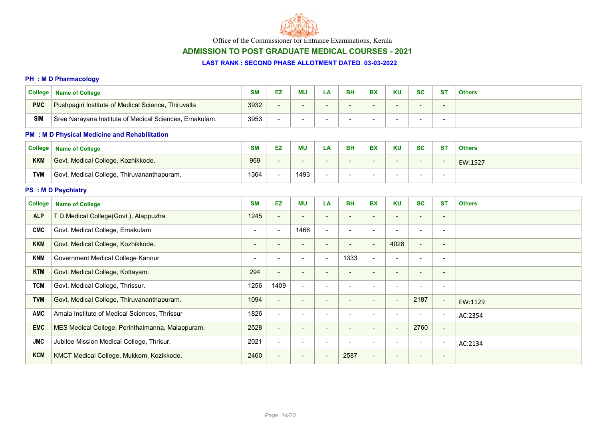

# ADMISSION TO POST GRADUATE MEDICAL COURSES - 2021

#### LAST RANK : SECOND PHASE ALLOTMENT DATED 03-03-2022

#### PH : M D Pharmacology

| <b>College</b> | <b>Name of College</b>                                  | o M<br>ow | Е7 | <b>MU</b> | ட்ச | <b>BH</b> | <b>BX</b> | <b>KU</b> | SC     | <b>ST</b> | <b>Others</b> |
|----------------|---------------------------------------------------------|-----------|----|-----------|-----|-----------|-----------|-----------|--------|-----------|---------------|
| <b>PMC</b>     | Pushpagiri Institute of Medical Science, Thiruvalla     | 3932      |    | -         |     |           |           |           | $\sim$ |           |               |
| <b>SIM</b>     | Sree Narayana Institute of Medical Sciences, Ernakulam. | 3953      |    |           |     |           |           |           |        |           |               |

### PM : M D Physical Medicine and Rehabilitation

| <b>College</b> | <b>Name of College</b>                     | <b>SM</b> | EZ | <b>MU</b> | LΑ | <b>BH</b> | <b>BX</b> | <b>KU</b>                | <b>SC</b> | <b>ST</b> | <b>Others</b> |
|----------------|--------------------------------------------|-----------|----|-----------|----|-----------|-----------|--------------------------|-----------|-----------|---------------|
| <b>KKM</b>     | Govt. Medical College, Kozhikkode.         | 969       |    |           |    |           |           | $\overline{\phantom{0}}$ |           | -         | EW:1527       |
| <b>TVM</b>     | Govt. Medical College, Thiruvananthapuram. | 1364      |    | 1493      |    |           |           |                          |           |           |               |

### PS : M D Psychiatry

| <b>College</b> | <b>Name of College</b>                           | <b>SM</b>                | EZ                       | <b>MU</b>                | LA                       | <b>BH</b>                | <b>BX</b>                    | <b>KU</b>                | <b>SC</b>                | <b>ST</b>                | <b>Others</b> |
|----------------|--------------------------------------------------|--------------------------|--------------------------|--------------------------|--------------------------|--------------------------|------------------------------|--------------------------|--------------------------|--------------------------|---------------|
| <b>ALP</b>     | T D Medical College(Govt.), Alappuzha.           | 1245                     | $\overline{\phantom{a}}$ | $\overline{\phantom{a}}$ | $\overline{\phantom{a}}$ |                          | $\overline{\phantom{a}}$     | $\overline{\phantom{a}}$ | $\overline{\phantom{a}}$ | $\overline{\phantom{a}}$ |               |
| <b>CMC</b>     | Govt. Medical College, Ernakulam                 | $\overline{\phantom{a}}$ | $\overline{\phantom{a}}$ | 1466                     | $\overline{\phantom{a}}$ |                          | $\overline{\phantom{a}}$     | $\overline{\phantom{a}}$ |                          | $\overline{\phantom{a}}$ |               |
| <b>KKM</b>     | Govt. Medical College, Kozhikkode.               | $\qquad \qquad$          | $\overline{\phantom{a}}$ | $\overline{\phantom{a}}$ | $\overline{\phantom{a}}$ | $\overline{\phantom{0}}$ | $\qquad \qquad -$            | 4028                     | $\overline{\phantom{a}}$ | $\overline{\phantom{a}}$ |               |
| <b>KNM</b>     | Government Medical College Kannur                | $\overline{\phantom{a}}$ | $\overline{\phantom{a}}$ | $\overline{\phantom{a}}$ | $\overline{\phantom{a}}$ | 1333                     | $\qquad \qquad \blacksquare$ | $\overline{\phantom{a}}$ | $\overline{\phantom{0}}$ | $\overline{\phantom{a}}$ |               |
| <b>KTM</b>     | Govt. Medical College, Kottayam.                 | 294                      | $\overline{\phantom{a}}$ | $\overline{\phantom{a}}$ | $\overline{\phantom{0}}$ |                          | $\qquad \qquad \blacksquare$ | $\sim$                   | $\overline{\phantom{0}}$ | $\overline{\phantom{a}}$ |               |
| <b>TCM</b>     | Govt. Medical College, Thrissur.                 | 1256                     | 1409                     | $\blacksquare$           | $\overline{\phantom{0}}$ |                          | $\overline{\phantom{0}}$     | $\overline{\phantom{0}}$ |                          | $\overline{\phantom{a}}$ |               |
| <b>TVM</b>     | Govt. Medical College, Thiruvananthapuram.       | 1094                     | $\overline{\phantom{a}}$ | $\overline{\phantom{a}}$ | $\overline{\phantom{a}}$ |                          | $\qquad \qquad \blacksquare$ | $\blacksquare$           | 2187                     | $\sim$                   | EW:1129       |
| <b>AMC</b>     | Amala Institute of Medical Sciences, Thrissur    | 1826                     | $\overline{\phantom{a}}$ | $\overline{\phantom{a}}$ | $\overline{\phantom{a}}$ |                          | $\overline{\phantom{0}}$     | $\overline{\phantom{a}}$ |                          | $\overline{\phantom{a}}$ | AC:2354       |
| <b>EMC</b>     | MES Medical College, Perinthalmanna, Malappuram. | 2528                     | $\blacksquare$           | $\overline{\phantom{a}}$ | $\overline{\phantom{a}}$ |                          | $\qquad \qquad \blacksquare$ | $\blacksquare$           | 2760                     | $\blacksquare$           |               |
| <b>JMC</b>     | Jubilee Mission Medical College, Thrisur.        | 2021                     | $\blacksquare$           | $\overline{\phantom{a}}$ | $\overline{\phantom{a}}$ |                          | $\blacksquare$               | $\overline{\phantom{a}}$ | $\overline{\phantom{a}}$ | $\overline{\phantom{a}}$ | AC:2134       |
| <b>KCM</b>     | KMCT Medical College, Mukkom, Kozikkode.         | 2460                     | $\blacksquare$           | $\overline{\phantom{a}}$ | $\overline{\phantom{a}}$ | 2587                     | $\overline{\phantom{0}}$     | $\overline{\phantom{a}}$ |                          | $\overline{\phantom{a}}$ |               |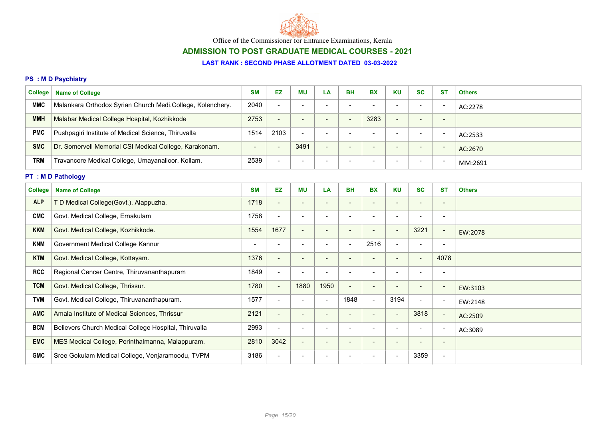

# ADMISSION TO POST GRADUATE MEDICAL COURSES - 2021

### LAST RANK : SECOND PHASE ALLOTMENT DATED 03-03-2022

### PS : M D Psychiatry

| College <sup>1</sup> | <b>Name of College</b>                                     | <b>SM</b>                | EZ                       | ΜU                       | LA | <b>BH</b>                | <b>BX</b>                | <b>KU</b>                | <b>SC</b>                | <b>ST</b>                | <b>Others</b> |
|----------------------|------------------------------------------------------------|--------------------------|--------------------------|--------------------------|----|--------------------------|--------------------------|--------------------------|--------------------------|--------------------------|---------------|
| <b>MMC</b>           | Malankara Orthodox Syrian Church Medi.College, Kolenchery. | 2040                     | $\overline{\phantom{a}}$ | $\overline{\phantom{0}}$ |    | -                        |                          | $\overline{\phantom{0}}$ | -                        | -                        | AC:2278       |
| <b>MMH</b>           | Malabar Medical College Hospital, Kozhikkode               | 2753                     | $\overline{\phantom{0}}$ | $\overline{\phantom{0}}$ |    | -                        | 3283                     | $\overline{\phantom{a}}$ | $\overline{\phantom{0}}$ | $\overline{\phantom{a}}$ |               |
| <b>PMC</b>           | Pushpagiri Institute of Medical Science, Thiruvalla        | 1514                     | 2103                     | $\overline{\phantom{0}}$ |    |                          |                          | $\overline{\phantom{0}}$ |                          | -                        | AC:2533       |
| <b>SMC</b>           | Dr. Somervell Memorial CSI Medical College, Karakonam.     | $\overline{\phantom{0}}$ | $\overline{\phantom{0}}$ | 3491                     |    | $\overline{\phantom{0}}$ | $\overline{\phantom{0}}$ | $\sim$                   | $\overline{\phantom{0}}$ | -                        | AC:2670       |
| <b>TRM</b>           | Travancore Medical College, Umayanalloor, Kollam.          | 2539                     | $\overline{\phantom{a}}$ | $\overline{\phantom{0}}$ |    |                          |                          | $\overline{\phantom{0}}$ | -                        |                          | MM:2691       |

# PT : M D Pathology

| <b>College</b> | <b>Name of College</b>                                | <b>SM</b> | <b>EZ</b>                | <b>MU</b>                | LA                       | <b>BH</b>                | <b>BX</b>                | <b>KU</b>                | <b>SC</b>                | <b>ST</b>                | <b>Others</b> |
|----------------|-------------------------------------------------------|-----------|--------------------------|--------------------------|--------------------------|--------------------------|--------------------------|--------------------------|--------------------------|--------------------------|---------------|
| <b>ALP</b>     | T D Medical College(Govt.), Alappuzha.                | 1718      | $\blacksquare$           | $\overline{\phantom{a}}$ | $\overline{\phantom{a}}$ | $\overline{\phantom{a}}$ | $\overline{\phantom{a}}$ | $\overline{\phantom{a}}$ | $\overline{\phantom{a}}$ | $\overline{\phantom{a}}$ |               |
| <b>CMC</b>     | Govt. Medical College, Ernakulam                      | 1758      | $\blacksquare$           | $\overline{\phantom{0}}$ | $\overline{\phantom{a}}$ |                          |                          |                          |                          |                          |               |
| <b>KKM</b>     | Govt. Medical College, Kozhikkode.                    | 1554      | 1677                     | $\qquad \qquad$          | $\overline{\phantom{a}}$ | $\qquad \qquad$          | $\overline{\phantom{a}}$ | $\overline{\phantom{a}}$ | 3221                     | $\blacksquare$           | EW:2078       |
| <b>KNM</b>     | Government Medical College Kannur                     |           | $\overline{\phantom{a}}$ | $\overline{\phantom{a}}$ | $\overline{\phantom{a}}$ | $\overline{\phantom{0}}$ | 2516                     | $\blacksquare$           | $\overline{\phantom{0}}$ | $\overline{\phantom{a}}$ |               |
| <b>KTM</b>     | Govt. Medical College, Kottayam.                      | 1376      | $\sim$                   | $\overline{\phantom{a}}$ | $\overline{\phantom{a}}$ | $\qquad \qquad$          | $\overline{\phantom{a}}$ | $\blacksquare$           | $\blacksquare$           | 4078                     |               |
| <b>RCC</b>     | Regional Cencer Centre, Thiruvananthapuram            | 1849      | $\blacksquare$           |                          | $\overline{\phantom{a}}$ |                          |                          |                          |                          | $\overline{\phantom{a}}$ |               |
| <b>TCM</b>     | Govt. Medical College, Thrissur.                      | 1780      | $\blacksquare$           | 1880                     | 1950                     | $\overline{\phantom{a}}$ | $\overline{\phantom{0}}$ |                          | $\overline{\phantom{a}}$ | $\overline{\phantom{a}}$ | EW:3103       |
| <b>TVM</b>     | Govt. Medical College, Thiruvananthapuram.            | 1577      | $\overline{\phantom{a}}$ | $\overline{\phantom{a}}$ | $\overline{\phantom{a}}$ | 1848                     | $\overline{\phantom{0}}$ | 3194                     | $\overline{\phantom{a}}$ | $\overline{\phantom{a}}$ | EW:2148       |
| <b>AMC</b>     | Amala Institute of Medical Sciences, Thrissur         | 2121      | $\blacksquare$           | $\overline{\phantom{a}}$ | $\overline{\phantom{a}}$ | $\overline{\phantom{a}}$ |                          | $\overline{\phantom{a}}$ | 3818                     | $\overline{\phantom{a}}$ | AC:2509       |
| <b>BCM</b>     | Believers Church Medical College Hospital, Thiruvalla | 2993      | $\blacksquare$           | $\overline{\phantom{a}}$ | $\blacksquare$           | $\overline{\phantom{a}}$ |                          |                          | $\overline{\phantom{a}}$ | $\overline{\phantom{a}}$ | AC:3089       |
| <b>EMC</b>     | MES Medical College, Perinthalmanna, Malappuram.      | 2810      | 3042                     | $\blacksquare$           | $\overline{\phantom{a}}$ | $\overline{\phantom{a}}$ |                          | $\overline{\phantom{a}}$ | $\overline{\phantom{a}}$ | $\overline{\phantom{a}}$ |               |
| <b>GMC</b>     | Sree Gokulam Medical College, Venjaramoodu, TVPM      | 3186      | $\overline{\phantom{a}}$ |                          |                          |                          |                          |                          | 3359                     | $\overline{\phantom{a}}$ |               |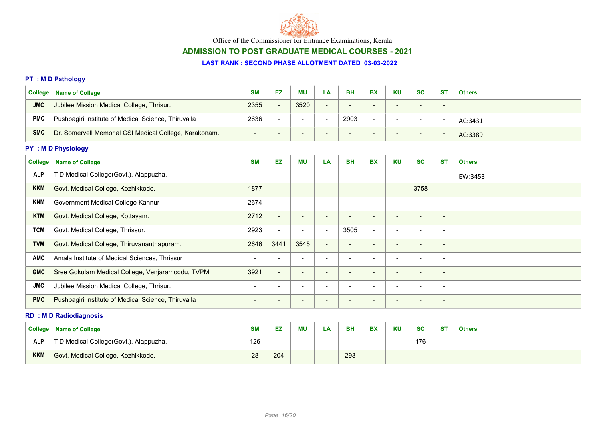

# ADMISSION TO POST GRADUATE MEDICAL COURSES - 2021

#### LAST RANK : SECOND PHASE ALLOTMENT DATED 03-03-2022

### PT : M D Pathology

| <b>College</b> | <b>Name of College</b>                                 | <b>SM</b>                | EZ                       | <b>MU</b>                | LA | BH   | <b>BX</b>                | <b>KU</b>                | <b>SC</b>                | $S^{\intercal}$ | <b>Others</b> |
|----------------|--------------------------------------------------------|--------------------------|--------------------------|--------------------------|----|------|--------------------------|--------------------------|--------------------------|-----------------|---------------|
| <b>JMC</b>     | Jubilee Mission Medical College, Thrisur.              | 2355                     | $\sim$                   | 3520                     |    |      | $\overline{\phantom{a}}$ | $\overline{\phantom{a}}$ |                          | --              |               |
| <b>PMC</b>     | Pushpagiri Institute of Medical Science, Thiruvalla    | 2636                     | $\overline{\phantom{a}}$ |                          |    | 2903 | $\overline{\phantom{0}}$ |                          |                          | -               | AC:3431       |
| <b>SMC</b>     | Dr. Somervell Memorial CSI Medical College, Karakonam. | $\overline{\phantom{0}}$ |                          | $\overline{\phantom{0}}$ |    |      | $\overline{\phantom{0}}$ | $\overline{\phantom{0}}$ | $\overline{\phantom{0}}$ | - -             | AC:3389       |

# PY : M D Physiology

| <b>Name of College</b>                              | <b>SM</b>                | <b>EZ</b>                | <b>MU</b>                | LA                       | <b>BH</b>                | <b>BX</b>                | <b>KU</b>                | <b>SC</b>                | <b>ST</b>                    | <b>Others</b> |
|-----------------------------------------------------|--------------------------|--------------------------|--------------------------|--------------------------|--------------------------|--------------------------|--------------------------|--------------------------|------------------------------|---------------|
| T D Medical College(Govt.), Alappuzha.              | $\overline{\phantom{a}}$ | $\overline{\phantom{a}}$ | $\blacksquare$           | $\overline{\phantom{a}}$ | $\overline{\phantom{a}}$ | $\blacksquare$           | $\overline{\phantom{a}}$ | $\overline{\phantom{a}}$ | $\overline{\phantom{a}}$     | EW:3453       |
| Govt. Medical College, Kozhikkode.                  | 1877                     | $\blacksquare$           | $\overline{\phantom{0}}$ | $\overline{\phantom{a}}$ | $\overline{\phantom{0}}$ | $\overline{\phantom{0}}$ | $\sim$                   | 3758                     | $\blacksquare$               |               |
| Government Medical College Kannur                   | 2674                     | $\overline{\phantom{a}}$ | $\overline{\phantom{0}}$ | $\overline{\phantom{a}}$ |                          | $\overline{\phantom{0}}$ | $\overline{\phantom{0}}$ | $\overline{\phantom{0}}$ | $\overline{\phantom{a}}$     |               |
| Govt. Medical College, Kottayam.                    | 2712                     | $\blacksquare$           | $\overline{\phantom{0}}$ | $\overline{\phantom{a}}$ | -                        | $\overline{\phantom{0}}$ | $\overline{\phantom{a}}$ | $\overline{\phantom{a}}$ | $\qquad \qquad \blacksquare$ |               |
| Govt. Medical College, Thrissur.                    | 2923                     | $\blacksquare$           | $\sim$                   | $\overline{\phantom{a}}$ | 3505                     | $\overline{\phantom{0}}$ | $\overline{\phantom{a}}$ | $\overline{\phantom{a}}$ | $\blacksquare$               |               |
| Govt. Medical College, Thiruvananthapuram.          | 2646                     | 3441                     | 3545                     | $\overline{\phantom{a}}$ | $\overline{\phantom{0}}$ | $\overline{\phantom{0}}$ | $\overline{\phantom{a}}$ | $\overline{\phantom{0}}$ | $\overline{\phantom{a}}$     |               |
| Amala Institute of Medical Sciences, Thrissur       | $\blacksquare$           | $\overline{\phantom{a}}$ | $\blacksquare$           | $\overline{\phantom{a}}$ | ٠                        | $\blacksquare$           | $\overline{\phantom{a}}$ | $\overline{\phantom{0}}$ | $\overline{\phantom{a}}$     |               |
| Sree Gokulam Medical College, Venjaramoodu, TVPM    | 3921                     | $\blacksquare$           | $\overline{\phantom{a}}$ | $\overline{\phantom{a}}$ |                          |                          | $\overline{\phantom{a}}$ | $\overline{\phantom{a}}$ | $\overline{\phantom{a}}$     |               |
| Jubilee Mission Medical College, Thrisur.           | $\overline{\phantom{0}}$ | $\overline{\phantom{0}}$ | $\overline{\phantom{a}}$ | $\overline{\phantom{a}}$ | -                        | $\overline{\phantom{0}}$ | $\overline{\phantom{0}}$ | -                        | $\overline{\phantom{a}}$     |               |
| Pushpagiri Institute of Medical Science, Thiruvalla | $\qquad \qquad$          | $\overline{\phantom{a}}$ | $\overline{\phantom{0}}$ | $\overline{\phantom{a}}$ | $\overline{\phantom{0}}$ | $\qquad \qquad$          | $\overline{\phantom{a}}$ | $\overline{\phantom{a}}$ | $\overline{\phantom{a}}$     |               |
|                                                     | <b>College</b>           |                          |                          |                          |                          |                          |                          |                          |                              |               |

### RD : M D Radiodiagnosis

| <b>College</b> | <b>Name of College</b>                 | <b>SM</b> | EZ  | MU | ĹÅ | <b>BH</b> | <b>BX</b> | <b>KU</b> | <b>SC</b> | <b>ST</b>                | <b>Others</b> |
|----------------|----------------------------------------|-----------|-----|----|----|-----------|-----------|-----------|-----------|--------------------------|---------------|
| <b>ALP</b>     | T D Medical College(Govt.), Alappuzha. | 126       |     |    |    |           |           |           | 176       |                          |               |
| <b>KKM</b>     | Govt. Medical College, Kozhikkode.     | 28        | 204 |    |    | 293       |           |           |           | $\overline{\phantom{0}}$ |               |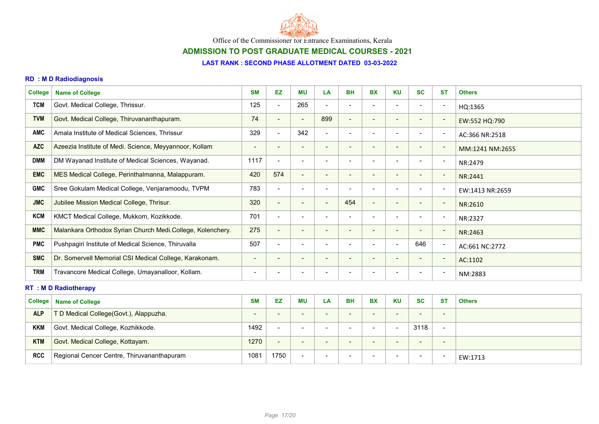

# ADMISSION TO POST GRADUATE MEDICAL COURSES - 2021

#### LAST RANK : SECOND PHASE ALLOTMENT DATED 03-03-2022

### RD : M D Radiodiagnosis

| <b>College</b> | <b>Name of College</b>                                     | <b>SM</b>                | <b>EZ</b>                | ΜU                           | LA                       | <b>BH</b>                | <b>BX</b>                | <b>KU</b>                | <b>SC</b>                | <b>ST</b>                | <b>Others</b>   |
|----------------|------------------------------------------------------------|--------------------------|--------------------------|------------------------------|--------------------------|--------------------------|--------------------------|--------------------------|--------------------------|--------------------------|-----------------|
| <b>TCM</b>     | Govt. Medical College, Thrissur.                           | 125                      | $\blacksquare$           | 265                          | $\overline{\phantom{a}}$ |                          |                          | $\overline{\phantom{a}}$ | $\overline{\phantom{a}}$ | $\overline{\phantom{a}}$ | HQ:1365         |
| <b>TVM</b>     | Govt. Medical College, Thiruvananthapuram.                 | 74                       | $\overline{\phantom{a}}$ | $\overline{\phantom{a}}$     | 899                      | $\overline{\phantom{a}}$ |                          | $\overline{\phantom{a}}$ | $\overline{\phantom{0}}$ | $\overline{\phantom{a}}$ | EW:552 HQ:790   |
| <b>AMC</b>     | Amala Institute of Medical Sciences, Thrissur              | 329                      | $\blacksquare$           | 342                          | $\overline{\phantom{a}}$ | $\overline{\phantom{a}}$ |                          | $\overline{\phantom{a}}$ | $\overline{\phantom{a}}$ | $\blacksquare$           | AC:366 NR:2518  |
| <b>AZC</b>     | Azeezia Institute of Medi. Science, Meyyannoor, Kollam     | $\qquad \qquad$          | $\overline{\phantom{a}}$ | $\qquad \qquad$              |                          | Ξ.                       |                          | $\qquad \qquad$          | $\qquad \qquad$          | $\overline{\phantom{a}}$ | MM:1241 NM:2655 |
| <b>DMM</b>     | DM Wayanad Institute of Medical Sciences, Wayanad.         | 1117                     | $\blacksquare$           | $\overline{\phantom{a}}$     | $\overline{\phantom{a}}$ |                          |                          | $\overline{\phantom{0}}$ | $\overline{\phantom{a}}$ | $\overline{\phantom{a}}$ | NR:2479         |
| <b>EMC</b>     | MES Medical College, Perinthalmanna, Malappuram.           | 420                      | 574                      | $\blacksquare$               | $\overline{\phantom{a}}$ |                          | $\qquad \qquad$          | $\overline{\phantom{a}}$ | $\overline{\phantom{a}}$ | $\overline{\phantom{a}}$ | NR:2441         |
| <b>GMC</b>     | Sree Gokulam Medical College, Venjaramoodu, TVPM           | 783                      | $\blacksquare$           | $\qquad \qquad \blacksquare$ | $\overline{\phantom{a}}$ |                          |                          | $\overline{\phantom{a}}$ | $\overline{\phantom{a}}$ | $\overline{\phantom{a}}$ | EW:1413 NR:2659 |
| <b>JMC</b>     | Jubilee Mission Medical College, Thrisur.                  | 320                      | $\blacksquare$           | $\qquad \qquad$              | $\overline{\phantom{a}}$ | 454                      | $\blacksquare$           | $\qquad \qquad$          | $\overline{\phantom{a}}$ | $\overline{\phantom{a}}$ | NR:2610         |
| <b>KCM</b>     | KMCT Medical College, Mukkom, Kozikkode.                   | 701                      | $\blacksquare$           | $\overline{\phantom{a}}$     |                          |                          |                          |                          | $\overline{\phantom{a}}$ | $\overline{\phantom{a}}$ | NR:2327         |
| <b>MMC</b>     | Malankara Orthodox Syrian Church Medi.College, Kolenchery. | 275                      | $\blacksquare$           | $\qquad \qquad$              |                          |                          |                          | $\overline{\phantom{a}}$ | $\blacksquare$           | $\overline{\phantom{a}}$ | NR:2463         |
| <b>PMC</b>     | Pushpagiri Institute of Medical Science, Thiruvalla        | 507                      | $\blacksquare$           | $\blacksquare$               | $\overline{\phantom{0}}$ | $\overline{\phantom{a}}$ | $\overline{\phantom{a}}$ | $\overline{\phantom{a}}$ | 646                      | $\overline{\phantom{a}}$ | AC:661 NC:2772  |
| <b>SMC</b>     | Dr. Somervell Memorial CSI Medical College, Karakonam.     | $\blacksquare$           | $\blacksquare$           | $\overline{\phantom{a}}$     | $\overline{\phantom{a}}$ | $\qquad \qquad$          | $\qquad \qquad$          | $\overline{\phantom{a}}$ | $\blacksquare$           | $\overline{\phantom{a}}$ | AC:1102         |
| <b>TRM</b>     | Travancore Medical College, Umayanalloor, Kollam.          | $\overline{\phantom{0}}$ |                          |                              |                          |                          |                          |                          |                          | $\overline{\phantom{a}}$ | NM:2883         |

### RT : M D Radiotherapy

| <b>College</b> | <b>Name of College</b>                     | <b>SM</b>                | EZ                       | <b>MU</b>                | LA                       | BH                       | <b>BX</b>                | <b>KU</b>                | <b>SC</b>                | -ST                      | <b>Others</b> |
|----------------|--------------------------------------------|--------------------------|--------------------------|--------------------------|--------------------------|--------------------------|--------------------------|--------------------------|--------------------------|--------------------------|---------------|
| <b>ALP</b>     | T D Medical College(Govt.), Alappuzha.     | $\overline{\phantom{0}}$ | $\overline{\phantom{0}}$ | $\overline{\phantom{a}}$ | - -                      | $\overline{\phantom{0}}$ | $\qquad \qquad$          | $\overline{\phantom{0}}$ | $\overline{\phantom{a}}$ | $\qquad \qquad$          |               |
| <b>KKM</b>     | Govt. Medical College, Kozhikkode.         | 1492                     | $\overline{\phantom{a}}$ |                          | $\overline{\phantom{a}}$ | $\overline{\phantom{0}}$ | $\overline{\phantom{0}}$ |                          | 3118                     | $\overline{\phantom{0}}$ |               |
| <b>KTM</b>     | Govt. Medical College, Kottayam.           | 1270                     | $\overline{\phantom{a}}$ | $\overline{\phantom{a}}$ | $\overline{\phantom{a}}$ | $\overline{\phantom{0}}$ | $\overline{\phantom{0}}$ | -                        | $\overline{\phantom{a}}$ | $\qquad \qquad$          |               |
| <b>RCC</b>     | Regional Cencer Centre, Thiruvananthapuram | 1081                     | 1750                     | -                        |                          | $\overline{\phantom{0}}$ | $\overline{\phantom{a}}$ |                          | $\sim$                   | . .                      | EW:1713       |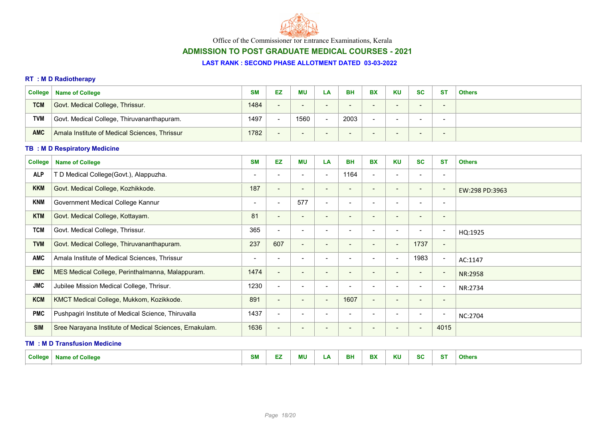

# ADMISSION TO POST GRADUATE MEDICAL COURSES - 2021

#### LAST RANK : SECOND PHASE ALLOTMENT DATED 03-03-2022

# RT : M D Radiotherapy

| <b>College</b> | <b>Name of College</b>                        | <b>SM</b> | EZ                       | <b>MU</b>                | LA  | BH                       | <b>BX</b>       | <b>KU</b>                | <b>SC</b>                | <b>ST</b>                | <b>Others</b> |
|----------------|-----------------------------------------------|-----------|--------------------------|--------------------------|-----|--------------------------|-----------------|--------------------------|--------------------------|--------------------------|---------------|
| <b>TCM</b>     | Govt. Medical College, Thrissur.              | 1484      | $\overline{\phantom{0}}$ |                          |     |                          |                 |                          | $\overline{\phantom{0}}$ | $\overline{\phantom{a}}$ |               |
| <b>TVM</b>     | Govt. Medical College, Thiruvananthapuram.    | 1497      | $\overline{\phantom{0}}$ | 1560                     |     | 2003                     |                 |                          | $\overline{\phantom{0}}$ |                          |               |
| <b>AMC</b>     | Amala Institute of Medical Sciences, Thrissur | 1782      | $\overline{\phantom{0}}$ | $\overline{\phantom{a}}$ | . . | $\overline{\phantom{0}}$ | $\qquad \qquad$ | $\overline{\phantom{0}}$ | $\sim$                   | $\overline{\phantom{a}}$ |               |

### TB : M D Respiratory Medicine

| <b>College</b> | <b>Name of College</b>                                  | <b>SM</b>                | EZ                       | <b>MU</b>                | LA                       | <b>BH</b>                | <b>BX</b>                | <b>KU</b>                | <b>SC</b>                | <b>ST</b>                | <b>Others</b>  |  |  |
|----------------|---------------------------------------------------------|--------------------------|--------------------------|--------------------------|--------------------------|--------------------------|--------------------------|--------------------------|--------------------------|--------------------------|----------------|--|--|
| <b>ALP</b>     | T D Medical College(Govt.), Alappuzha.                  | $\overline{\phantom{a}}$ | $\overline{\phantom{a}}$ | $\overline{\phantom{a}}$ | $\overline{\phantom{a}}$ | 1164                     | $\blacksquare$           | $\overline{\phantom{a}}$ | $\overline{\phantom{0}}$ | $\overline{\phantom{a}}$ |                |  |  |
| <b>KKM</b>     | Govt. Medical College, Kozhikkode.                      | 187                      | $\overline{\phantom{a}}$ | $\overline{\phantom{a}}$ | $\overline{\phantom{a}}$ | $\overline{\phantom{a}}$ | $\overline{\phantom{0}}$ | $\overline{\phantom{a}}$ | $\overline{\phantom{a}}$ | $\overline{\phantom{a}}$ | EW:298 PD:3963 |  |  |
| <b>KNM</b>     | Government Medical College Kannur                       | $\blacksquare$           | $\overline{\phantom{a}}$ | 577                      | $\overline{\phantom{a}}$ |                          | $\overline{\phantom{a}}$ | $\overline{\phantom{a}}$ | $\overline{\phantom{a}}$ | $\blacksquare$           |                |  |  |
| <b>KTM</b>     | Govt. Medical College, Kottayam.                        | 81                       | $\overline{\phantom{a}}$ | $\overline{\phantom{a}}$ | $\overline{\phantom{a}}$ |                          | -                        | $\overline{\phantom{a}}$ | $\overline{\phantom{a}}$ | $\overline{\phantom{a}}$ |                |  |  |
| <b>TCM</b>     | Govt. Medical College, Thrissur.                        | 365                      | $\blacksquare$           | $\overline{\phantom{a}}$ | $\overline{\phantom{a}}$ |                          | $\blacksquare$           | $\overline{\phantom{a}}$ | $\overline{\phantom{a}}$ | $\overline{\phantom{a}}$ | HQ:1925        |  |  |
| <b>TVM</b>     | Govt. Medical College, Thiruvananthapuram.              | 237                      | 607                      | $\blacksquare$           | $\overline{\phantom{a}}$ |                          | $\blacksquare$           | $\overline{\phantom{a}}$ | 1737                     | $\overline{\phantom{a}}$ |                |  |  |
| <b>AMC</b>     | Amala Institute of Medical Sciences, Thrissur           | $\,$                     | $\blacksquare$           |                          |                          |                          |                          | $\blacksquare$           | 1983                     | $\overline{\phantom{a}}$ | AC:1147        |  |  |
| <b>EMC</b>     | MES Medical College, Perinthalmanna, Malappuram.        | 1474                     | $\overline{\phantom{a}}$ | $\overline{\phantom{a}}$ | $\overline{\phantom{a}}$ | $\overline{\phantom{a}}$ | -                        | $\overline{\phantom{a}}$ | $\overline{\phantom{a}}$ | $\overline{\phantom{a}}$ | NR:2958        |  |  |
| <b>JMC</b>     | Jubilee Mission Medical College, Thrisur.               | 1230                     | $\blacksquare$           | $\overline{\phantom{a}}$ | $\overline{\phantom{a}}$ |                          | $\overline{\phantom{a}}$ | $\overline{\phantom{a}}$ | $\overline{\phantom{a}}$ | $\overline{\phantom{a}}$ | NR:2734        |  |  |
| <b>KCM</b>     | KMCT Medical College, Mukkom, Kozikkode.                | 891                      | $\blacksquare$           | $\blacksquare$           | $\sim$                   | 1607                     | $\blacksquare$           | $\overline{\phantom{a}}$ | $\overline{\phantom{a}}$ | $\overline{\phantom{a}}$ |                |  |  |
| <b>PMC</b>     | Pushpagiri Institute of Medical Science, Thiruvalla     | 1437                     | $\blacksquare$           | $\overline{\phantom{0}}$ |                          |                          |                          | $\overline{\phantom{a}}$ | $\overline{\phantom{a}}$ | $\overline{\phantom{0}}$ | NC:2704        |  |  |
| <b>SIM</b>     | Sree Narayana Institute of Medical Sciences, Ernakulam. | 1636                     | $\blacksquare$           | $\qquad \qquad$          | $\,$ $\,$                |                          | $\overline{\phantom{a}}$ | $\overline{\phantom{a}}$ | $\overline{\phantom{a}}$ | 4015                     |                |  |  |
|                | <b>TM: MD Transfusion Medicine</b>                      |                          |                          |                          |                          |                          |                          |                          |                          |                          |                |  |  |

| <b>College</b> | --<br>. College l<br>me or<br>w | $\sim$ $\sim$<br>ועוכ | -- | ΜU | $\mathbf{r}$<br>. | <b>BH</b> | <b>DV</b><br>DЛ | <b>KU</b> | $\sim$<br>.au | $-27$<br>$\sim$ | <b>Others</b> |
|----------------|---------------------------------|-----------------------|----|----|-------------------|-----------|-----------------|-----------|---------------|-----------------|---------------|
|                |                                 |                       |    |    |                   |           |                 |           |               |                 |               |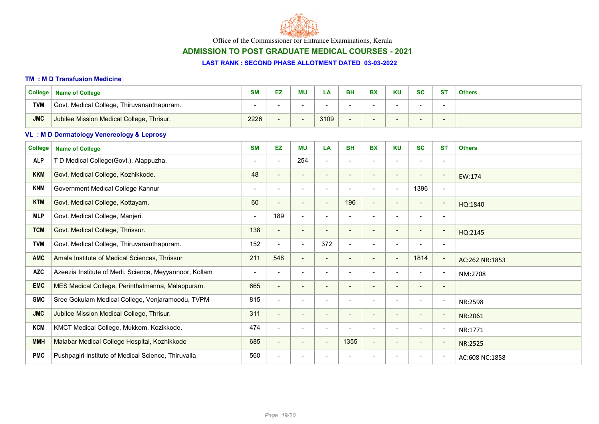

# ADMISSION TO POST GRADUATE MEDICAL COURSES - 2021

#### LAST RANK : SECOND PHASE ALLOTMENT DATED 03-03-2022

#### TM : M D Transfusion Medicine

| <b>College</b> | <b>Name of College</b>                     | <b>SM</b> | EZ | <b>MU</b> | ட்ச  | <b>BH</b> | <b>BX</b> | <b>KU</b> | <b>SC</b> | – S⊤                     | <b>Others</b> |
|----------------|--------------------------------------------|-----------|----|-----------|------|-----------|-----------|-----------|-----------|--------------------------|---------------|
| <b>TVM</b>     | Govt. Medical College, Thiruvananthapuram. |           |    |           |      |           |           |           |           |                          |               |
| <b>JMC</b>     | Jubilee Mission Medical College, Thrisur.  | 2226      |    |           | 3109 |           |           |           | $\sim$    | $\overline{\phantom{a}}$ |               |

### VL : M D Dermatology Venereology & Leprosy

| <b>College</b> | <b>Name of College</b>                                 | <b>SM</b>                | EZ.                      | <b>MU</b>                | LA                       | <b>BH</b>                | <b>BX</b>                | <b>KU</b>                | <b>SC</b>                | <b>ST</b>                | <b>Others</b>  |
|----------------|--------------------------------------------------------|--------------------------|--------------------------|--------------------------|--------------------------|--------------------------|--------------------------|--------------------------|--------------------------|--------------------------|----------------|
| <b>ALP</b>     | T D Medical College(Govt.), Alappuzha.                 | $\overline{\phantom{a}}$ | $\blacksquare$           | 254                      | $\blacksquare$           | $\blacksquare$           | $\overline{\phantom{0}}$ | $\blacksquare$           | $\blacksquare$           | $\blacksquare$           |                |
| <b>KKM</b>     | Govt. Medical College, Kozhikkode.                     | 48                       | $\blacksquare$           | $\overline{\phantom{a}}$ | $\overline{\phantom{a}}$ | $\overline{\phantom{0}}$ | $\overline{\phantom{a}}$ | $\overline{\phantom{a}}$ | $\overline{\phantom{a}}$ | $\overline{\phantom{a}}$ | EW:174         |
| <b>KNM</b>     | Government Medical College Kannur                      |                          | $\overline{\phantom{a}}$ |                          |                          |                          | $\overline{\phantom{0}}$ | $\blacksquare$           | 1396                     | $\overline{\phantom{a}}$ |                |
| <b>KTM</b>     | Govt. Medical College, Kottayam.                       | 60                       | $\blacksquare$           | $\blacksquare$           | $\overline{\phantom{a}}$ | 196                      | $\overline{\phantom{0}}$ | $\overline{\phantom{a}}$ | $\overline{\phantom{a}}$ | $\overline{\phantom{a}}$ | HQ:1840        |
| <b>MLP</b>     | Govt. Medical College, Manjeri.                        | $\overline{\phantom{0}}$ | 189                      | $\overline{\phantom{a}}$ | $\overline{\phantom{a}}$ | $\overline{\phantom{0}}$ | $\overline{\phantom{a}}$ | $\overline{\phantom{a}}$ | $\overline{\phantom{a}}$ | $\overline{\phantom{a}}$ |                |
| <b>TCM</b>     | Govt. Medical College, Thrissur.                       | 138                      | $\blacksquare$           | $\overline{\phantom{a}}$ | $\overline{\phantom{a}}$ |                          |                          | $\overline{\phantom{a}}$ | $\overline{\phantom{0}}$ | $\overline{\phantom{a}}$ | HQ:2145        |
| <b>TVM</b>     | Govt. Medical College, Thiruvananthapuram.             | 152                      | $\blacksquare$           | $\blacksquare$           | 372                      | $\overline{\phantom{a}}$ | $\overline{\phantom{0}}$ | $\overline{\phantom{a}}$ | $\overline{\phantom{a}}$ | $\overline{\phantom{a}}$ |                |
| <b>AMC</b>     | Amala Institute of Medical Sciences, Thrissur          | 211                      | 548                      | $\blacksquare$           | $\blacksquare$           | $\overline{\phantom{a}}$ | $\blacksquare$           | $\blacksquare$           | 1814                     | $\overline{\phantom{a}}$ | AC:262 NR:1853 |
| <b>AZC</b>     | Azeezia Institute of Medi. Science, Meyyannoor, Kollam | -                        | $\overline{\phantom{a}}$ |                          |                          |                          |                          | $\overline{\phantom{a}}$ |                          | $\overline{\phantom{a}}$ | NM:2708        |
| <b>EMC</b>     | MES Medical College, Perinthalmanna, Malappuram.       | 665                      | $\blacksquare$           | $\sim$                   | $\overline{\phantom{a}}$ |                          | $\overline{\phantom{0}}$ | $\overline{\phantom{a}}$ | $\overline{\phantom{0}}$ | $\overline{\phantom{a}}$ |                |
| <b>GMC</b>     | Sree Gokulam Medical College, Venjaramoodu, TVPM       | 815                      | $\blacksquare$           | $\overline{\phantom{a}}$ |                          |                          | $\overline{\phantom{0}}$ | $\overline{\phantom{a}}$ | $\overline{\phantom{a}}$ | $\overline{\phantom{a}}$ | NR:2598        |
| <b>JMC</b>     | Jubilee Mission Medical College, Thrisur.              | 311                      | $\blacksquare$           | $\blacksquare$           | $\overline{\phantom{a}}$ |                          | $\overline{\phantom{0}}$ | $\blacksquare$           | $\overline{\phantom{a}}$ | $\overline{\phantom{a}}$ | NR:2061        |
| <b>KCM</b>     | KMCT Medical College, Mukkom, Kozikkode.               | 474                      | $\blacksquare$           | $\overline{\phantom{a}}$ | $\overline{\phantom{a}}$ |                          | $\overline{\phantom{0}}$ | $\blacksquare$           | $\overline{\phantom{a}}$ | $\overline{\phantom{a}}$ | NR:1771        |
| <b>MMH</b>     | Malabar Medical College Hospital, Kozhikkode           | 685                      | $\blacksquare$           | $\blacksquare$           | $\overline{\phantom{a}}$ | 1355                     | $\overline{\phantom{0}}$ | $\overline{\phantom{a}}$ | $\qquad \qquad$          | $\overline{\phantom{a}}$ | NR:2525        |
| <b>PMC</b>     | Pushpagiri Institute of Medical Science, Thiruvalla    | 560                      | $\overline{\phantom{a}}$ |                          |                          |                          |                          |                          |                          | $\overline{\phantom{a}}$ | AC:608 NC:1858 |